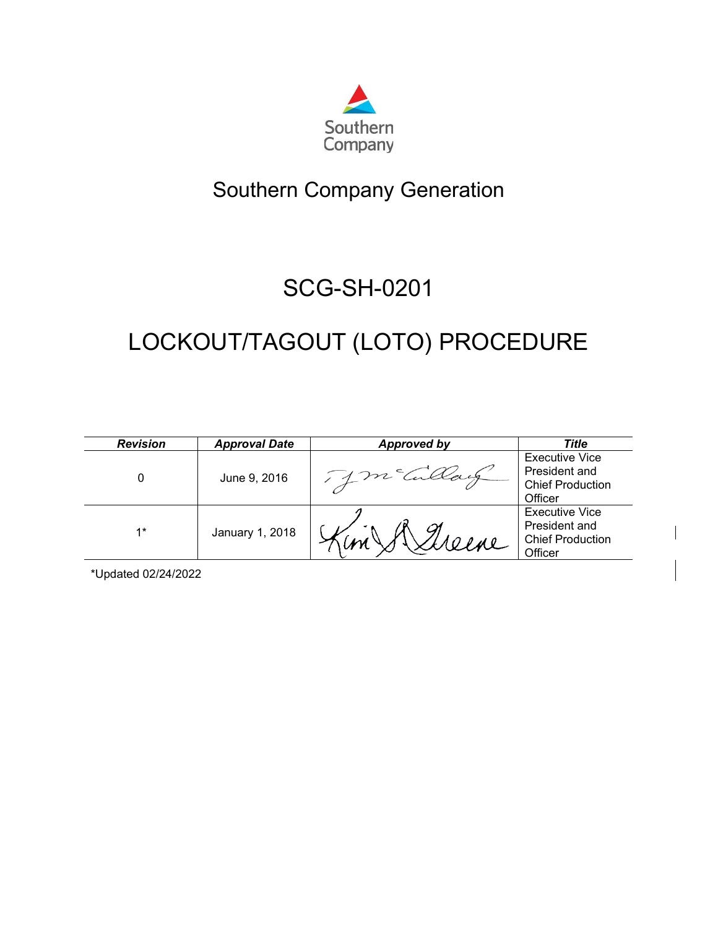

# Southern Company Generation

# SCG-SH-0201

# LOCKOUT/TAGOUT (LOTO) PROCEDURE

| <b>Revision</b> | <b>Approval Date</b> | Approved by | Title                                                                        |
|-----------------|----------------------|-------------|------------------------------------------------------------------------------|
|                 | June 9, 2016         |             | <b>Executive Vice</b><br>President and<br><b>Chief Production</b><br>Officer |
| $1*$            | January 1, 2018      |             | <b>Executive Vice</b><br>President and<br><b>Chief Production</b><br>Officer |

\*Updated 02/24/2022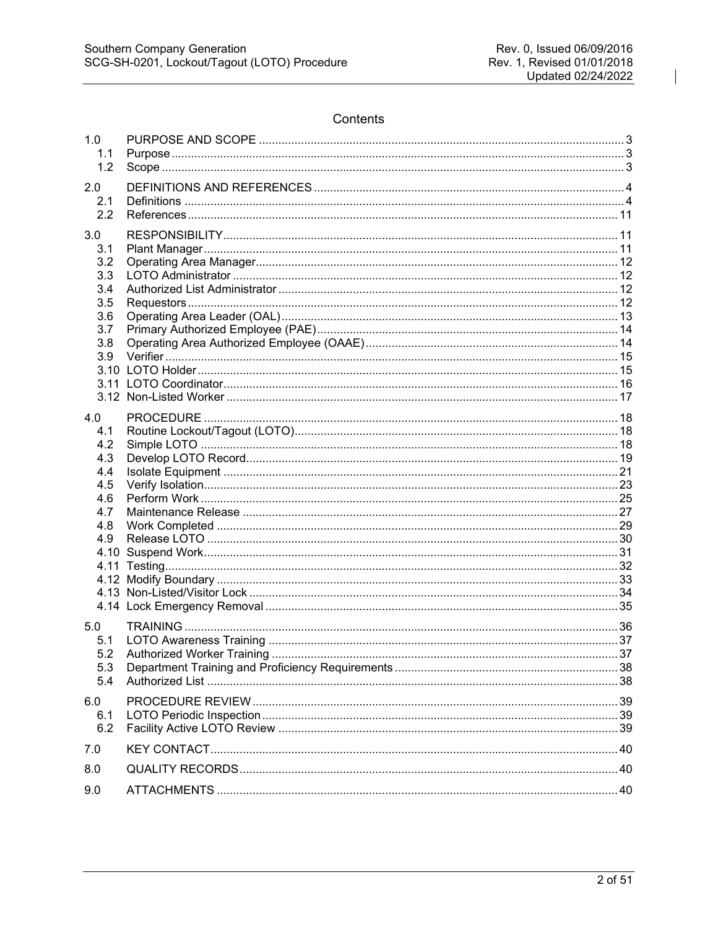# Contents

| 1.0<br>1.1<br>1.2                                                          |     |
|----------------------------------------------------------------------------|-----|
| 2.0<br>2.1<br>2.2                                                          |     |
| 3.0<br>3.1<br>3.2<br>3.3<br>3.4<br>3.5<br>3.6<br>3.7<br>3.8<br>3.9         |     |
| 4.0<br>4.1<br>4.2<br>4.3<br>4.4<br>4.5<br>4.6<br>4.7<br>4.8<br>4.9<br>4.11 |     |
| 5.0<br>5.1<br>5.2<br>5.3<br>5.4                                            | -37 |
| 6.0<br>6.1<br>6.2                                                          |     |
| 7.0                                                                        |     |
| 8.0                                                                        |     |
| 9.0                                                                        |     |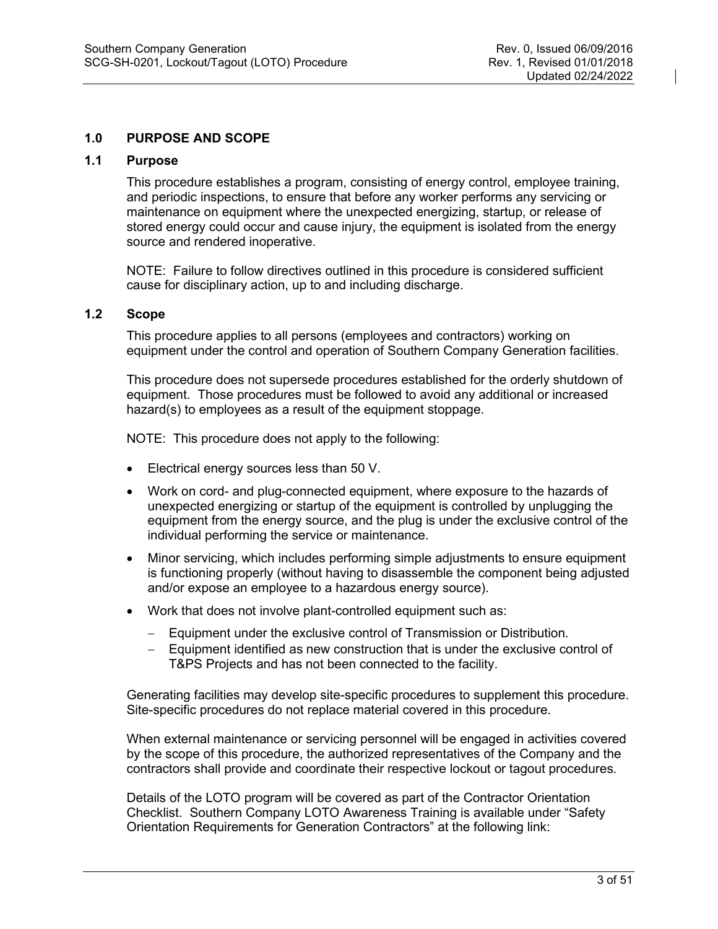# <span id="page-2-0"></span>**1.0 PURPOSE AND SCOPE**

# <span id="page-2-1"></span>**1.1 Purpose**

This procedure establishes a program, consisting of energy control, employee training, and periodic inspections, to ensure that before any worker performs any servicing or maintenance on equipment where the unexpected energizing, startup, or release of stored energy could occur and cause injury, the equipment is isolated from the energy source and rendered inoperative.

NOTE: Failure to follow directives outlined in this procedure is considered sufficient cause for disciplinary action, up to and including discharge.

#### <span id="page-2-2"></span>**1.2 Scope**

This procedure applies to all persons (employees and contractors) working on equipment under the control and operation of Southern Company Generation facilities.

This procedure does not supersede procedures established for the orderly shutdown of equipment. Those procedures must be followed to avoid any additional or increased hazard(s) to employees as a result of the equipment stoppage.

NOTE: This procedure does not apply to the following:

- Electrical energy sources less than 50 V.
- Work on cord- and plug-connected equipment, where exposure to the hazards of unexpected energizing or startup of the equipment is controlled by unplugging the equipment from the energy source, and the plug is under the exclusive control of the individual performing the service or maintenance.
- Minor servicing, which includes performing simple adjustments to ensure equipment is functioning properly (without having to disassemble the component being adjusted and/or expose an employee to a hazardous energy source).
- Work that does not involve plant-controlled equipment such as:
	- − Equipment under the exclusive control of Transmission or Distribution.
	- − Equipment identified as new construction that is under the exclusive control of T&PS Projects and has not been connected to the facility.

Generating facilities may develop site-specific procedures to supplement this procedure. Site-specific procedures do not replace material covered in this procedure.

When external maintenance or servicing personnel will be engaged in activities covered by the scope of this procedure, the authorized representatives of the Company and the contractors shall provide and coordinate their respective lockout or tagout procedures.

Details of the LOTO program will be covered as part of the Contractor Orientation Checklist. Southern Company LOTO Awareness Training is available under "Safety Orientation Requirements for Generation Contractors" at the following link: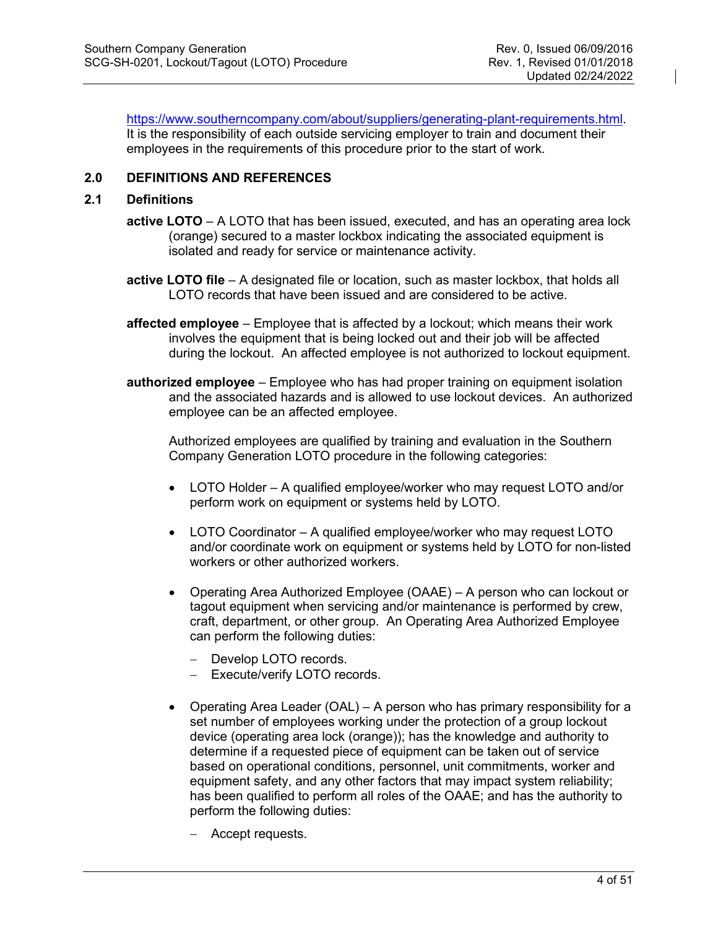[https://www.southerncompany.com/about/suppliers/generating-plant-requirements.html.](https://www.southerncompany.com/about/suppliers/generating-plant-requirements.html) It is the responsibility of each outside servicing employer to train and document their employees in the requirements of this procedure prior to the start of work.

# <span id="page-3-0"></span>**2.0 DEFINITIONS AND REFERENCES**

# <span id="page-3-1"></span>**2.1 Definitions**

- **active LOTO** A LOTO that has been issued, executed, and has an operating area lock (orange) secured to a master lockbox indicating the associated equipment is isolated and ready for service or maintenance activity.
- **active LOTO file** A designated file or location, such as master lockbox, that holds all LOTO records that have been issued and are considered to be active.
- **affected employee** Employee that is affected by a lockout; which means their work involves the equipment that is being locked out and their job will be affected during the lockout. An affected employee is not authorized to lockout equipment.
- **authorized employee** Employee who has had proper training on equipment isolation and the associated hazards and is allowed to use lockout devices. An authorized employee can be an affected employee.

Authorized employees are qualified by training and evaluation in the Southern Company Generation LOTO procedure in the following categories:

- LOTO Holder A qualified employee/worker who may request LOTO and/or perform work on equipment or systems held by LOTO.
- LOTO Coordinator A qualified employee/worker who may request LOTO and/or coordinate work on equipment or systems held by LOTO for non-listed workers or other authorized workers.
- Operating Area Authorized Employee (OAAE) A person who can lockout or tagout equipment when servicing and/or maintenance is performed by crew, craft, department, or other group. An Operating Area Authorized Employee can perform the following duties:
	- − Develop LOTO records.
	- Execute/verify LOTO records.
- Operating Area Leader (OAL) A person who has primary responsibility for a set number of employees working under the protection of a group lockout device (operating area lock (orange)); has the knowledge and authority to determine if a requested piece of equipment can be taken out of service based on operational conditions, personnel, unit commitments, worker and equipment safety, and any other factors that may impact system reliability; has been qualified to perform all roles of the OAAE; and has the authority to perform the following duties:
	- − Accept requests.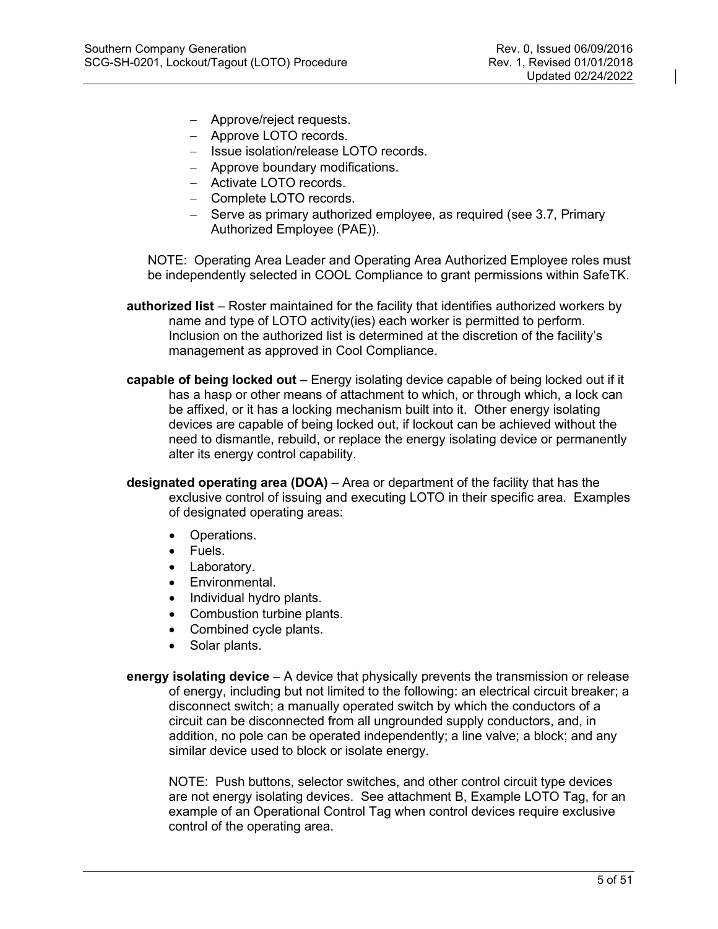- − Approve/reject requests.
- − Approve LOTO records.
- − Issue isolation/release LOTO records.
- − Approve boundary modifications.
- − Activate LOTO records.
- − Complete LOTO records.
- − Serve as primary authorized employee, as required (see 3.7, Primary Authorized Employee (PAE)).

NOTE: Operating Area Leader and Operating Area Authorized Employee roles must be independently selected in COOL Compliance to grant permissions within SafeTK.

- **authorized list** Roster maintained for the facility that identifies authorized workers by name and type of LOTO activity(ies) each worker is permitted to perform. Inclusion on the authorized list is determined at the discretion of the facility's management as approved in Cool Compliance.
- **capable of being locked out** Energy isolating device capable of being locked out if it has a hasp or other means of attachment to which, or through which, a lock can be affixed, or it has a locking mechanism built into it. Other energy isolating devices are capable of being locked out, if lockout can be achieved without the need to dismantle, rebuild, or replace the energy isolating device or permanently alter its energy control capability.
- **designated operating area (DOA)** Area or department of the facility that has the exclusive control of issuing and executing LOTO in their specific area. Examples of designated operating areas:
	- Operations.
	- Fuels.
	- Laboratory.
	- Environmental.
	- Individual hydro plants.
	- Combustion turbine plants.
	- Combined cycle plants.
	- Solar plants.

**energy isolating device** – A device that physically prevents the transmission or release of energy, including but not limited to the following: an electrical circuit breaker; a disconnect switch; a manually operated switch by which the conductors of a circuit can be disconnected from all ungrounded supply conductors, and, in addition, no pole can be operated independently; a line valve; a block; and any similar device used to block or isolate energy.

NOTE: Push buttons, selector switches, and other control circuit type devices are not energy isolating devices. See attachment B, Example LOTO Tag, for an example of an Operational Control Tag when control devices require exclusive control of the operating area.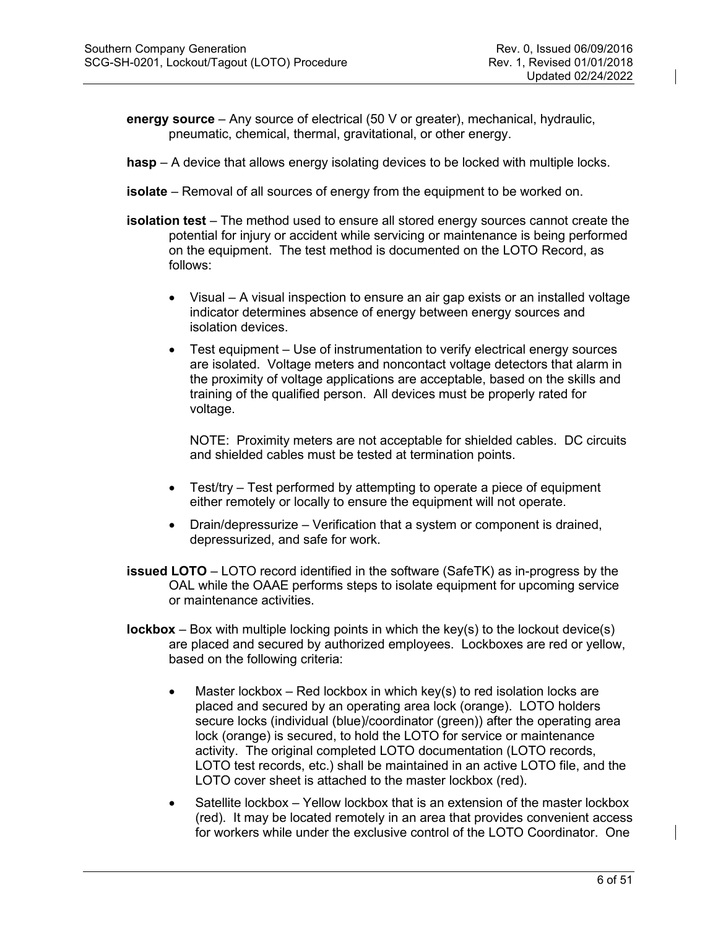**energy source** – Any source of electrical (50 V or greater), mechanical, hydraulic, pneumatic, chemical, thermal, gravitational, or other energy.

- **hasp** A device that allows energy isolating devices to be locked with multiple locks.
- **isolate** Removal of all sources of energy from the equipment to be worked on.
- **isolation test** The method used to ensure all stored energy sources cannot create the potential for injury or accident while servicing or maintenance is being performed on the equipment. The test method is documented on the LOTO Record, as follows:
	- Visual A visual inspection to ensure an air gap exists or an installed voltage indicator determines absence of energy between energy sources and isolation devices.
	- Test equipment Use of instrumentation to verify electrical energy sources are isolated. Voltage meters and noncontact voltage detectors that alarm in the proximity of voltage applications are acceptable, based on the skills and training of the qualified person. All devices must be properly rated for voltage.

NOTE: Proximity meters are not acceptable for shielded cables. DC circuits and shielded cables must be tested at termination points.

- Test/try Test performed by attempting to operate a piece of equipment either remotely or locally to ensure the equipment will not operate.
- Drain/depressurize Verification that a system or component is drained, depressurized, and safe for work.
- **issued LOTO** LOTO record identified in the software (SafeTK) as in-progress by the OAL while the OAAE performs steps to isolate equipment for upcoming service or maintenance activities.
- **lockbox** Box with multiple locking points in which the key(s) to the lockout device(s) are placed and secured by authorized employees. Lockboxes are red or yellow, based on the following criteria:
	- Master lockbox Red lockbox in which key(s) to red isolation locks are placed and secured by an operating area lock (orange). LOTO holders secure locks (individual (blue)/coordinator (green)) after the operating area lock (orange) is secured, to hold the LOTO for service or maintenance activity. The original completed LOTO documentation (LOTO records, LOTO test records, etc.) shall be maintained in an active LOTO file, and the LOTO cover sheet is attached to the master lockbox (red).
	- Satellite lockbox Yellow lockbox that is an extension of the master lockbox (red). It may be located remotely in an area that provides convenient access for workers while under the exclusive control of the LOTO Coordinator. One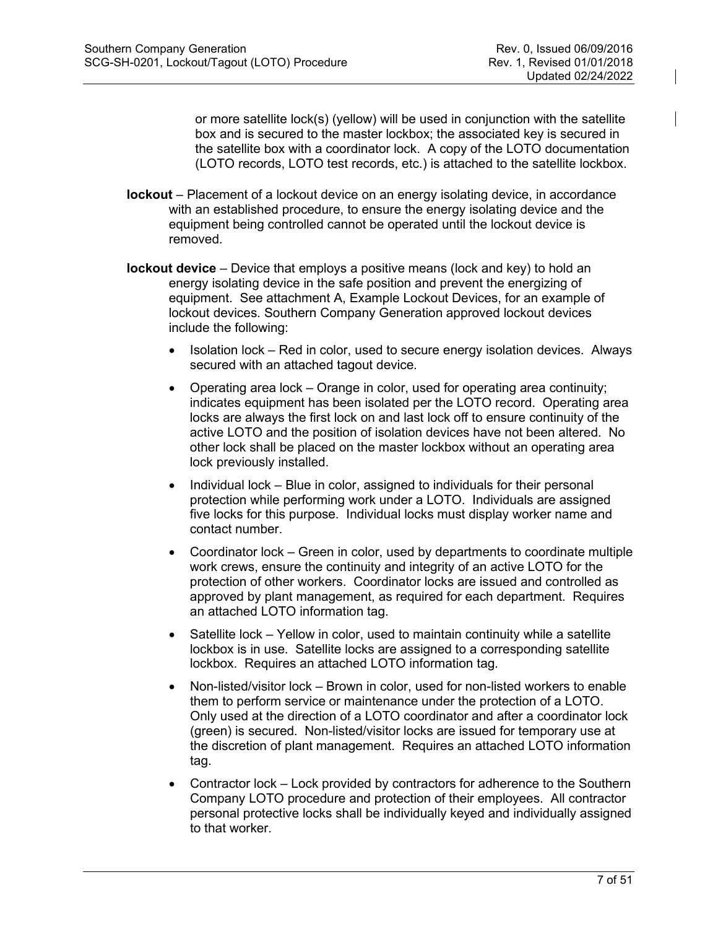or more satellite lock(s) (yellow) will be used in conjunction with the satellite box and is secured to the master lockbox; the associated key is secured in the satellite box with a coordinator lock. A copy of the LOTO documentation (LOTO records, LOTO test records, etc.) is attached to the satellite lockbox.

- **lockout**  Placement of a lockout device on an energy isolating device, in accordance with an established procedure, to ensure the energy isolating device and the equipment being controlled cannot be operated until the lockout device is removed.
- **lockout device** Device that employs a positive means (lock and key) to hold an energy isolating device in the safe position and prevent the energizing of equipment. See attachment A, Example Lockout Devices, for an example of lockout devices. Southern Company Generation approved lockout devices include the following:
	- Isolation lock Red in color, used to secure energy isolation devices. Always secured with an attached tagout device.
	- Operating area lock Orange in color, used for operating area continuity; indicates equipment has been isolated per the LOTO record. Operating area locks are always the first lock on and last lock off to ensure continuity of the active LOTO and the position of isolation devices have not been altered. No other lock shall be placed on the master lockbox without an operating area lock previously installed.
	- Individual lock Blue in color, assigned to individuals for their personal protection while performing work under a LOTO. Individuals are assigned five locks for this purpose. Individual locks must display worker name and contact number.
	- Coordinator lock Green in color, used by departments to coordinate multiple work crews, ensure the continuity and integrity of an active LOTO for the protection of other workers. Coordinator locks are issued and controlled as approved by plant management, as required for each department. Requires an attached LOTO information tag.
	- Satellite lock Yellow in color, used to maintain continuity while a satellite lockbox is in use. Satellite locks are assigned to a corresponding satellite lockbox. Requires an attached LOTO information tag.
	- Non-listed/visitor lock Brown in color, used for non-listed workers to enable them to perform service or maintenance under the protection of a LOTO. Only used at the direction of a LOTO coordinator and after a coordinator lock (green) is secured. Non-listed/visitor locks are issued for temporary use at the discretion of plant management. Requires an attached LOTO information tag.
	- Contractor lock Lock provided by contractors for adherence to the Southern Company LOTO procedure and protection of their employees. All contractor personal protective locks shall be individually keyed and individually assigned to that worker.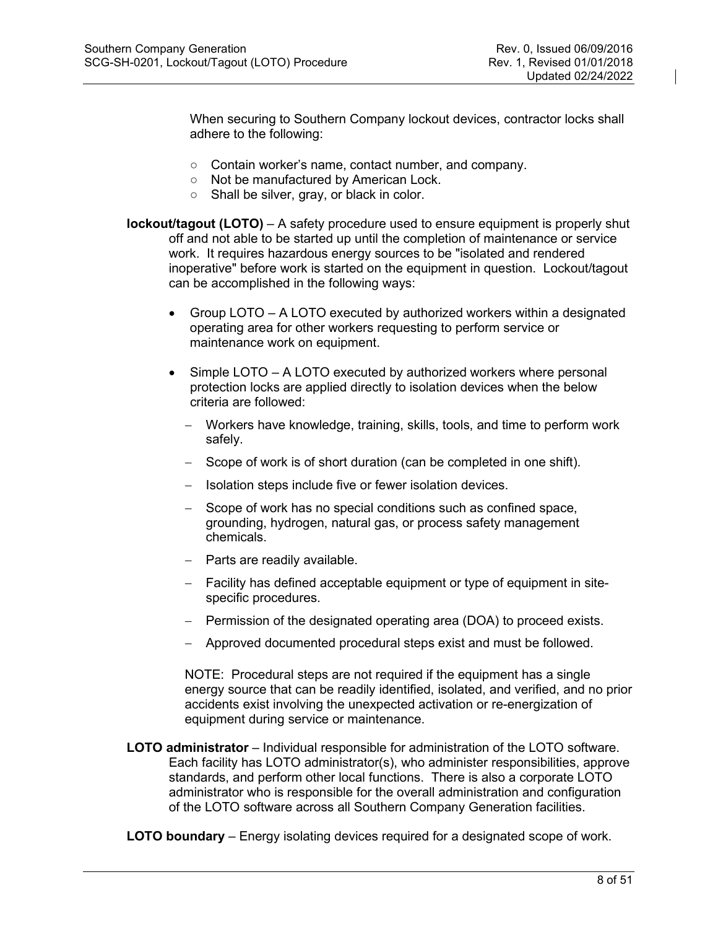When securing to Southern Company lockout devices, contractor locks shall adhere to the following:

- Contain worker's name, contact number, and company.
- Not be manufactured by American Lock.
- Shall be silver, gray, or black in color.
- **lockout/tagout (LOTO)** A safety procedure used to ensure equipment is properly shut off and not able to be started up until the completion of maintenance or service work. It requires hazardous energy sources to be "isolated and rendered inoperative" before work is started on the equipment in question. Lockout/tagout can be accomplished in the following ways:
	- Group LOTO A LOTO executed by authorized workers within a designated operating area for other workers requesting to perform service or maintenance work on equipment.
	- Simple LOTO A LOTO executed by authorized workers where personal protection locks are applied directly to isolation devices when the below criteria are followed:
		- − Workers have knowledge, training, skills, tools, and time to perform work safely.
		- − Scope of work is of short duration (can be completed in one shift).
		- − Isolation steps include five or fewer isolation devices.
		- − Scope of work has no special conditions such as confined space, grounding, hydrogen, natural gas, or process safety management chemicals.
		- − Parts are readily available.
		- − Facility has defined acceptable equipment or type of equipment in sitespecific procedures.
		- − Permission of the designated operating area (DOA) to proceed exists.
		- − Approved documented procedural steps exist and must be followed.

NOTE: Procedural steps are not required if the equipment has a single energy source that can be readily identified, isolated, and verified, and no prior accidents exist involving the unexpected activation or re-energization of equipment during service or maintenance.

- **LOTO administrator** Individual responsible for administration of the LOTO software. Each facility has LOTO administrator(s), who administer responsibilities, approve standards, and perform other local functions. There is also a corporate LOTO administrator who is responsible for the overall administration and configuration of the LOTO software across all Southern Company Generation facilities.
- **LOTO boundary** Energy isolating devices required for a designated scope of work.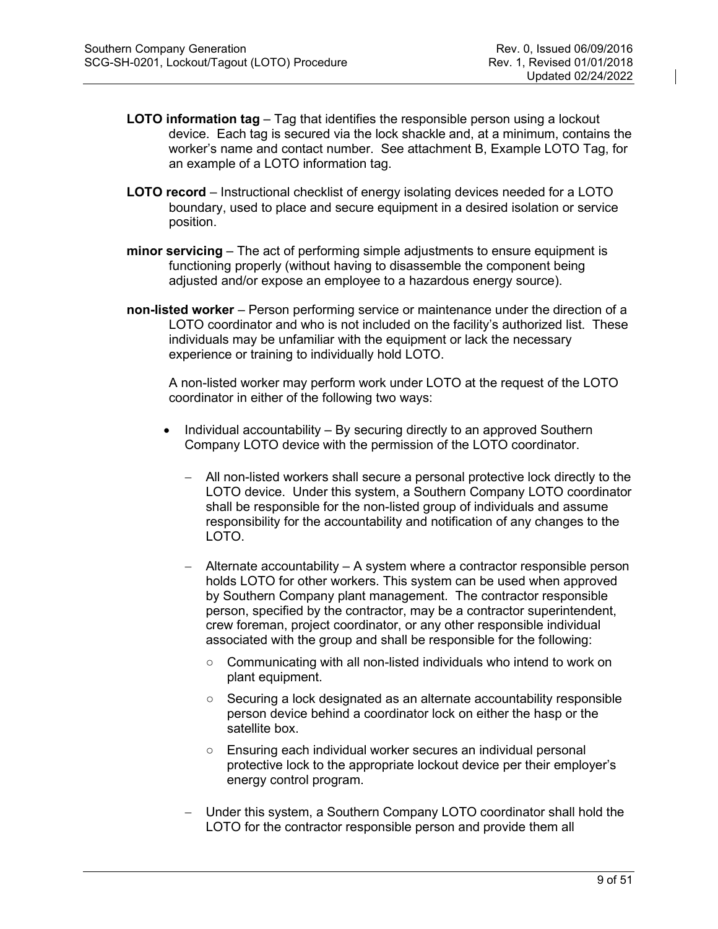- **LOTO information tag** Tag that identifies the responsible person using a lockout device. Each tag is secured via the lock shackle and, at a minimum, contains the worker's name and contact number. See attachment B, Example LOTO Tag, for an example of a LOTO information tag.
- **LOTO record** Instructional checklist of energy isolating devices needed for a LOTO boundary, used to place and secure equipment in a desired isolation or service position.
- **minor servicing** The act of performing simple adjustments to ensure equipment is functioning properly (without having to disassemble the component being adjusted and/or expose an employee to a hazardous energy source).
- **non-listed worker** Person performing service or maintenance under the direction of a LOTO coordinator and who is not included on the facility's authorized list. These individuals may be unfamiliar with the equipment or lack the necessary experience or training to individually hold LOTO.

A non-listed worker may perform work under LOTO at the request of the LOTO coordinator in either of the following two ways:

- Individual accountability By securing directly to an approved Southern Company LOTO device with the permission of the LOTO coordinator.
	- − All non-listed workers shall secure a personal protective lock directly to the LOTO device. Under this system, a Southern Company LOTO coordinator shall be responsible for the non-listed group of individuals and assume responsibility for the accountability and notification of any changes to the LOTO.
	- Alternate accountability A system where a contractor responsible person holds LOTO for other workers. This system can be used when approved by Southern Company plant management. The contractor responsible person, specified by the contractor, may be a contractor superintendent, crew foreman, project coordinator, or any other responsible individual associated with the group and shall be responsible for the following:
		- Communicating with all non-listed individuals who intend to work on plant equipment.
		- Securing a lock designated as an alternate accountability responsible person device behind a coordinator lock on either the hasp or the satellite box.
		- Ensuring each individual worker secures an individual personal protective lock to the appropriate lockout device per their employer's energy control program.
	- − Under this system, a Southern Company LOTO coordinator shall hold the LOTO for the contractor responsible person and provide them all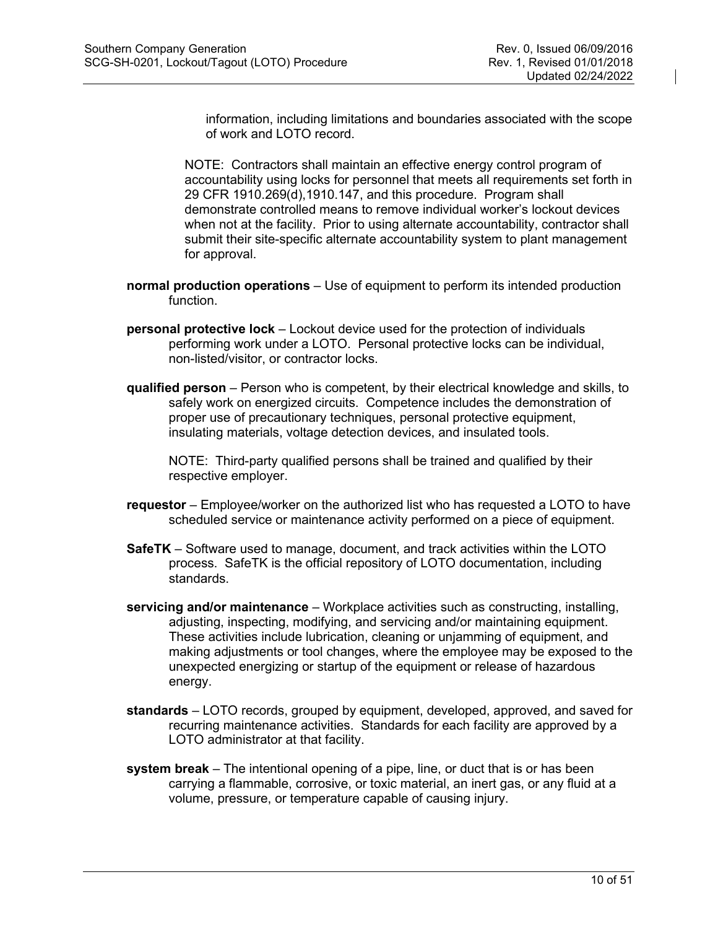information, including limitations and boundaries associated with the scope of work and LOTO record.

NOTE: Contractors shall maintain an effective energy control program of accountability using locks for personnel that meets all requirements set forth in 29 CFR 1910.269(d),1910.147, and this procedure. Program shall demonstrate controlled means to remove individual worker's lockout devices when not at the facility. Prior to using alternate accountability, contractor shall submit their site-specific alternate accountability system to plant management for approval.

- **normal production operations** Use of equipment to perform its intended production function.
- **personal protective lock** Lockout device used for the protection of individuals performing work under a LOTO. Personal protective locks can be individual, non-listed/visitor, or contractor locks.
- **qualified person** Person who is competent, by their electrical knowledge and skills, to safely work on energized circuits. Competence includes the demonstration of proper use of precautionary techniques, personal protective equipment, insulating materials, voltage detection devices, and insulated tools.

NOTE: Third-party qualified persons shall be trained and qualified by their respective employer.

- **requestor** Employee/worker on the authorized list who has requested a LOTO to have scheduled service or maintenance activity performed on a piece of equipment.
- **SafeTK** Software used to manage, document, and track activities within the LOTO process. SafeTK is the official repository of LOTO documentation, including standards.
- **servicing and/or maintenance** Workplace activities such as constructing, installing, adjusting, inspecting, modifying, and servicing and/or maintaining equipment. These activities include lubrication, cleaning or unjamming of equipment, and making adjustments or tool changes, where the employee may be exposed to the unexpected energizing or startup of the equipment or release of hazardous energy.
- **standards** LOTO records, grouped by equipment, developed, approved, and saved for recurring maintenance activities. Standards for each facility are approved by a LOTO administrator at that facility.
- **system break** The intentional opening of a pipe, line, or duct that is or has been carrying a flammable, corrosive, or toxic material, an inert gas, or any fluid at a volume, pressure, or temperature capable of causing injury.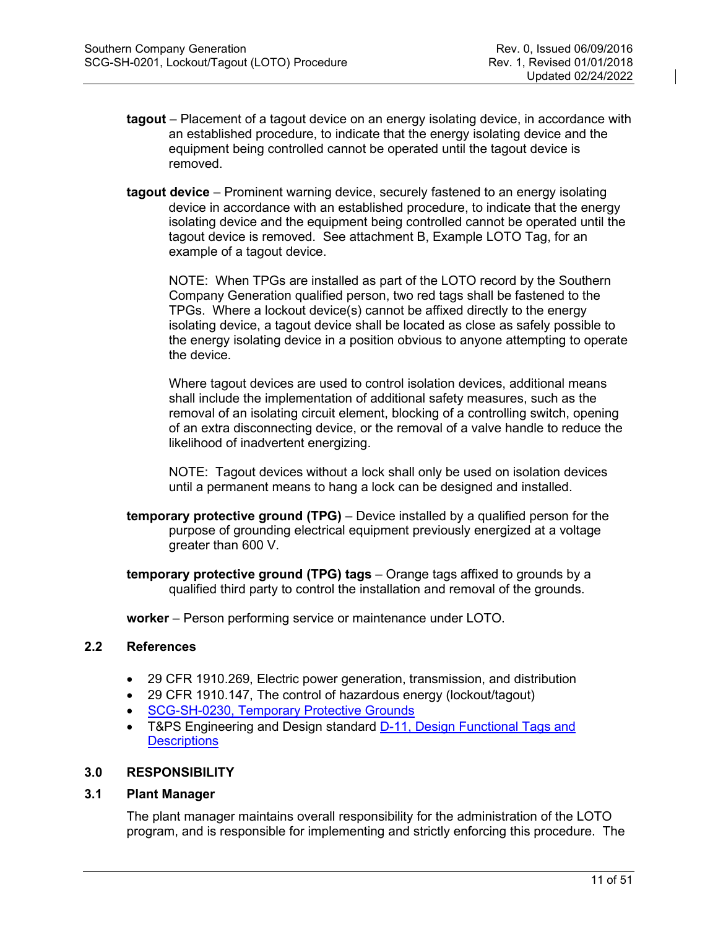- **tagout**  Placement of a tagout device on an energy isolating device, in accordance with an established procedure, to indicate that the energy isolating device and the equipment being controlled cannot be operated until the tagout device is removed.
- **tagout device** Prominent warning device, securely fastened to an energy isolating device in accordance with an established procedure, to indicate that the energy isolating device and the equipment being controlled cannot be operated until the tagout device is removed. See attachment B, Example LOTO Tag, for an example of a tagout device.

NOTE: When TPGs are installed as part of the LOTO record by the Southern Company Generation qualified person, two red tags shall be fastened to the TPGs. Where a lockout device(s) cannot be affixed directly to the energy isolating device, a tagout device shall be located as close as safely possible to the energy isolating device in a position obvious to anyone attempting to operate the device.

Where tagout devices are used to control isolation devices, additional means shall include the implementation of additional safety measures, such as the removal of an isolating circuit element, blocking of a controlling switch, opening of an extra disconnecting device, or the removal of a valve handle to reduce the likelihood of inadvertent energizing.

NOTE: Tagout devices without a lock shall only be used on isolation devices until a permanent means to hang a lock can be designed and installed.

- **temporary protective ground (TPG)** Device installed by a qualified person for the purpose of grounding electrical equipment previously energized at a voltage greater than 600 V.
- **temporary protective ground (TPG) tags** Orange tags affixed to grounds by a qualified third party to control the installation and removal of the grounds.

**worker** – Person performing service or maintenance under LOTO.

# <span id="page-10-0"></span>**2.2 References**

- 29 CFR 1910.269, Electric power generation, transmission, and distribution
- 29 CFR 1910.147, The control of hazardous energy (lockout/tagout)
- [SCG-SH-0230, Temporary Protective Grounds](http://safety-health.southernco.com/generation/compliance-programs/0230-tpg.html)
- T&PS Engineering and Design standard [D-11, Design Functional Tags](http://generationplaybook.southernco.com/ECS/ECS%20Procedures/Design%20Functional%20Tags.pdf?Web=1) and **[Descriptions](http://generationplaybook.southernco.com/ECS/ECS%20Procedures/Design%20Functional%20Tags.pdf?Web=1)**

#### <span id="page-10-1"></span>**3.0 RESPONSIBILITY**

<span id="page-10-2"></span>**3.1 Plant Manager**

The plant manager maintains overall responsibility for the administration of the LOTO program, and is responsible for implementing and strictly enforcing this procedure. The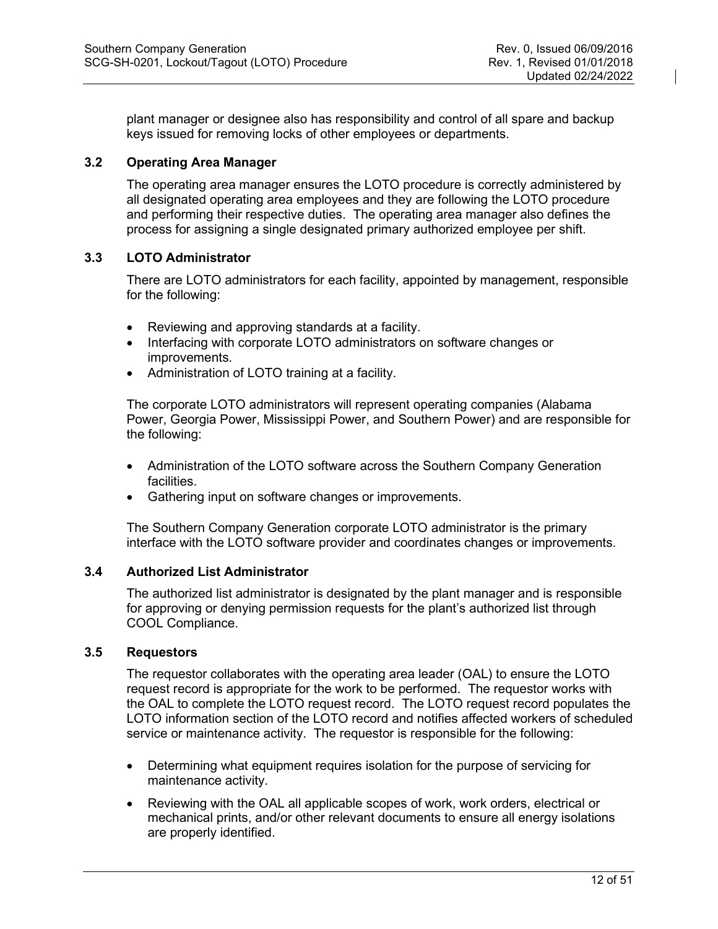plant manager or designee also has responsibility and control of all spare and backup keys issued for removing locks of other employees or departments.

# <span id="page-11-0"></span>**3.2 Operating Area Manager**

The operating area manager ensures the LOTO procedure is correctly administered by all designated operating area employees and they are following the LOTO procedure and performing their respective duties. The operating area manager also defines the process for assigning a single designated primary authorized employee per shift.

# <span id="page-11-1"></span>**3.3 LOTO Administrator**

There are LOTO administrators for each facility, appointed by management, responsible for the following:

- Reviewing and approving standards at a facility.
- Interfacing with corporate LOTO administrators on software changes or improvements.
- Administration of LOTO training at a facility.

The corporate LOTO administrators will represent operating companies (Alabama Power, Georgia Power, Mississippi Power, and Southern Power) and are responsible for the following:

- Administration of the LOTO software across the Southern Company Generation facilities.
- Gathering input on software changes or improvements.

The Southern Company Generation corporate LOTO administrator is the primary interface with the LOTO software provider and coordinates changes or improvements.

# <span id="page-11-2"></span>**3.4 Authorized List Administrator**

The authorized list administrator is designated by the plant manager and is responsible for approving or denying permission requests for the plant's authorized list through COOL Compliance.

# <span id="page-11-3"></span>**3.5 Requestors**

The requestor collaborates with the operating area leader (OAL) to ensure the LOTO request record is appropriate for the work to be performed. The requestor works with the OAL to complete the LOTO request record. The LOTO request record populates the LOTO information section of the LOTO record and notifies affected workers of scheduled service or maintenance activity. The requestor is responsible for the following:

- Determining what equipment requires isolation for the purpose of servicing for maintenance activity.
- Reviewing with the OAL all applicable scopes of work, work orders, electrical or mechanical prints, and/or other relevant documents to ensure all energy isolations are properly identified.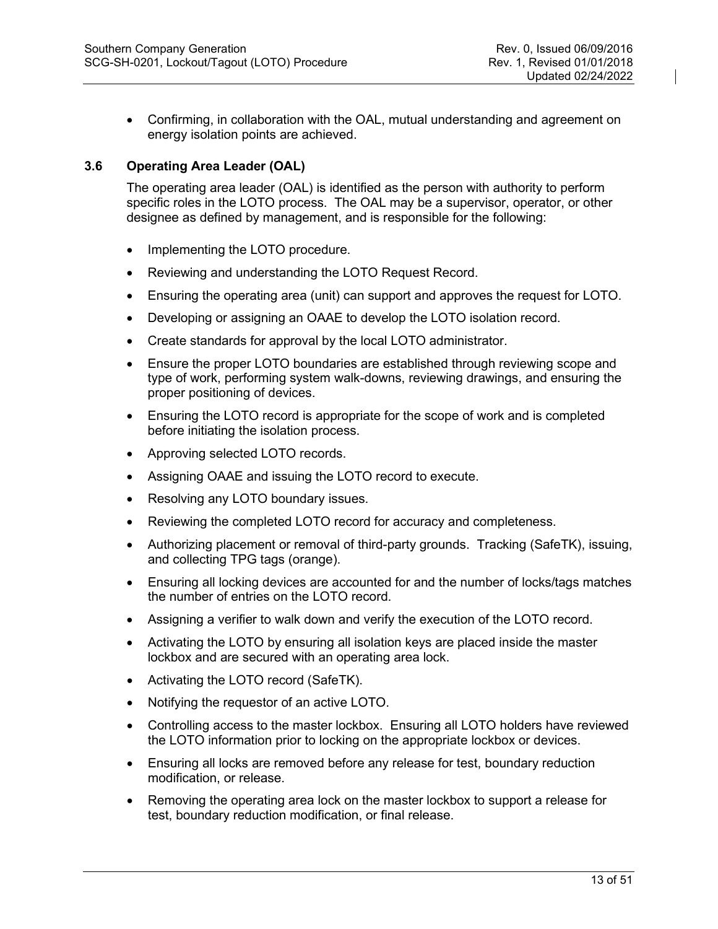• Confirming, in collaboration with the OAL, mutual understanding and agreement on energy isolation points are achieved.

# <span id="page-12-0"></span>**3.6 Operating Area Leader (OAL)**

The operating area leader (OAL) is identified as the person with authority to perform specific roles in the LOTO process. The OAL may be a supervisor, operator, or other designee as defined by management, and is responsible for the following:

- Implementing the LOTO procedure.
- Reviewing and understanding the LOTO Request Record.
- Ensuring the operating area (unit) can support and approves the request for LOTO.
- Developing or assigning an OAAE to develop the LOTO isolation record.
- Create standards for approval by the local LOTO administrator.
- Ensure the proper LOTO boundaries are established through reviewing scope and type of work, performing system walk-downs, reviewing drawings, and ensuring the proper positioning of devices.
- Ensuring the LOTO record is appropriate for the scope of work and is completed before initiating the isolation process.
- Approving selected LOTO records.
- Assigning OAAE and issuing the LOTO record to execute.
- Resolving any LOTO boundary issues.
- Reviewing the completed LOTO record for accuracy and completeness.
- Authorizing placement or removal of third-party grounds. Tracking (SafeTK), issuing, and collecting TPG tags (orange).
- Ensuring all locking devices are accounted for and the number of locks/tags matches the number of entries on the LOTO record.
- Assigning a verifier to walk down and verify the execution of the LOTO record.
- Activating the LOTO by ensuring all isolation keys are placed inside the master lockbox and are secured with an operating area lock.
- Activating the LOTO record (SafeTK).
- Notifying the requestor of an active LOTO.
- Controlling access to the master lockbox. Ensuring all LOTO holders have reviewed the LOTO information prior to locking on the appropriate lockbox or devices.
- Ensuring all locks are removed before any release for test, boundary reduction modification, or release.
- Removing the operating area lock on the master lockbox to support a release for test, boundary reduction modification, or final release.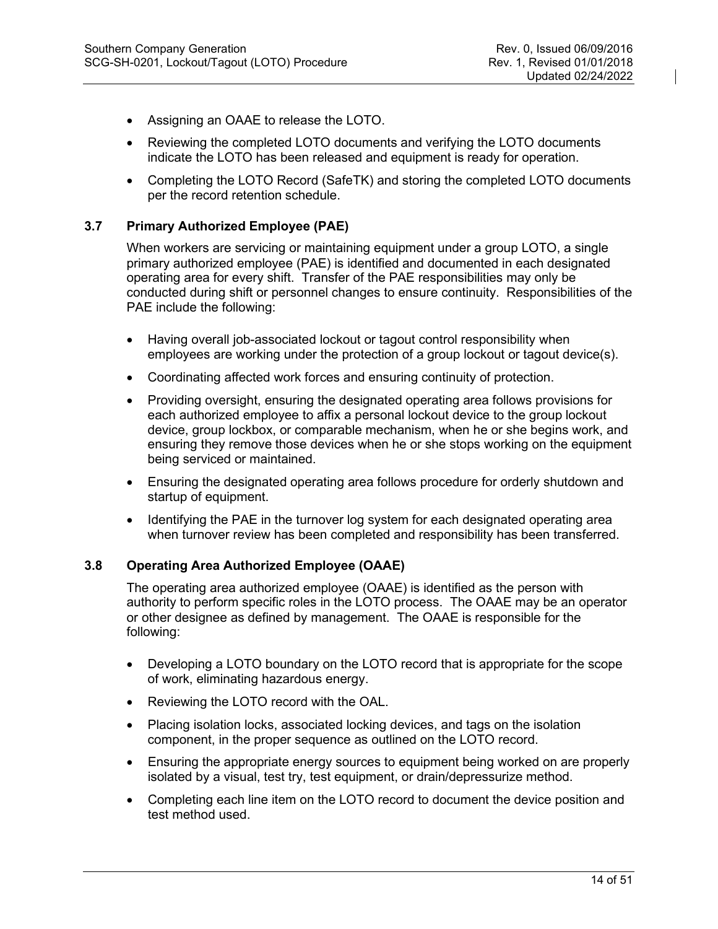- Assigning an OAAE to release the LOTO.
- Reviewing the completed LOTO documents and verifying the LOTO documents indicate the LOTO has been released and equipment is ready for operation.
- Completing the LOTO Record (SafeTK) and storing the completed LOTO documents per the record retention schedule.

# <span id="page-13-0"></span>**3.7 Primary Authorized Employee (PAE)**

When workers are servicing or maintaining equipment under a group LOTO, a single primary authorized employee (PAE) is identified and documented in each designated operating area for every shift. Transfer of the PAE responsibilities may only be conducted during shift or personnel changes to ensure continuity. Responsibilities of the PAE include the following:

- Having overall job-associated lockout or tagout control responsibility when employees are working under the protection of a group lockout or tagout device(s).
- Coordinating affected work forces and ensuring continuity of protection.
- Providing oversight, ensuring the designated operating area follows provisions for each authorized employee to affix a personal lockout device to the group lockout device, group lockbox, or comparable mechanism, when he or she begins work, and ensuring they remove those devices when he or she stops working on the equipment being serviced or maintained.
- Ensuring the designated operating area follows procedure for orderly shutdown and startup of equipment.
- Identifying the PAE in the turnover log system for each designated operating area when turnover review has been completed and responsibility has been transferred.

# <span id="page-13-1"></span>**3.8 Operating Area Authorized Employee (OAAE)**

The operating area authorized employee (OAAE) is identified as the person with authority to perform specific roles in the LOTO process. The OAAE may be an operator or other designee as defined by management. The OAAE is responsible for the following:

- Developing a LOTO boundary on the LOTO record that is appropriate for the scope of work, eliminating hazardous energy.
- Reviewing the LOTO record with the OAL.
- Placing isolation locks, associated locking devices, and tags on the isolation component, in the proper sequence as outlined on the LOTO record.
- Ensuring the appropriate energy sources to equipment being worked on are properly isolated by a visual, test try, test equipment, or drain/depressurize method.
- Completing each line item on the LOTO record to document the device position and test method used.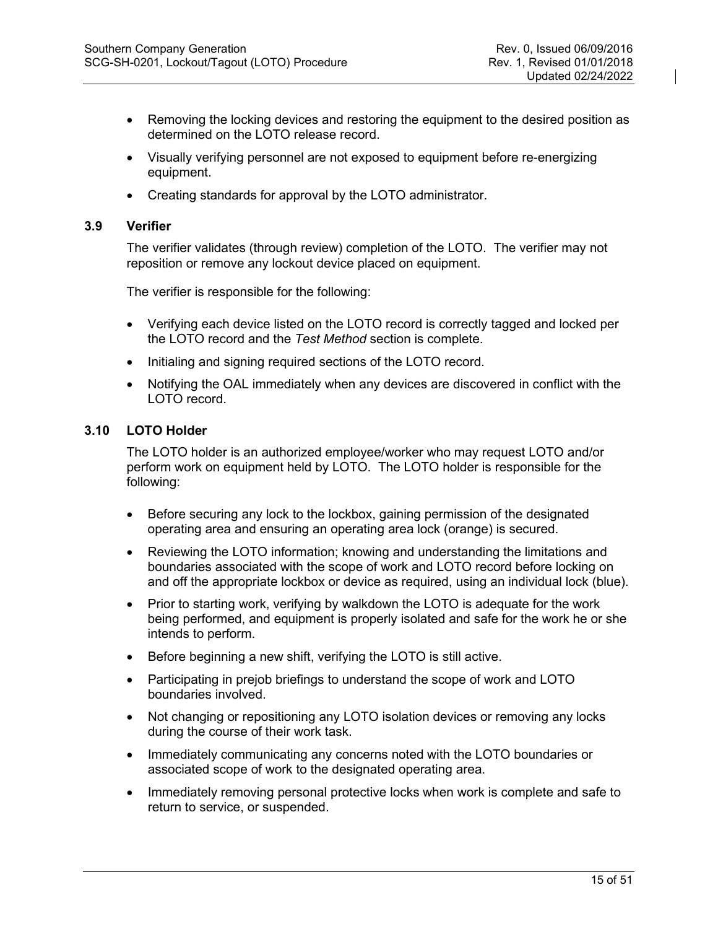- Removing the locking devices and restoring the equipment to the desired position as determined on the LOTO release record.
- Visually verifying personnel are not exposed to equipment before re-energizing equipment.
- Creating standards for approval by the LOTO administrator.

#### <span id="page-14-0"></span>**3.9 Verifier**

The verifier validates (through review) completion of the LOTO. The verifier may not reposition or remove any lockout device placed on equipment.

The verifier is responsible for the following:

- Verifying each device listed on the LOTO record is correctly tagged and locked per the LOTO record and the *Test Method* section is complete.
- Initialing and signing required sections of the LOTO record.
- Notifying the OAL immediately when any devices are discovered in conflict with the LOTO record.

# <span id="page-14-1"></span>**3.10 LOTO Holder**

The LOTO holder is an authorized employee/worker who may request LOTO and/or perform work on equipment held by LOTO. The LOTO holder is responsible for the following:

- Before securing any lock to the lockbox, gaining permission of the designated operating area and ensuring an operating area lock (orange) is secured.
- Reviewing the LOTO information; knowing and understanding the limitations and boundaries associated with the scope of work and LOTO record before locking on and off the appropriate lockbox or device as required, using an individual lock (blue).
- Prior to starting work, verifying by walkdown the LOTO is adequate for the work being performed, and equipment is properly isolated and safe for the work he or she intends to perform.
- Before beginning a new shift, verifying the LOTO is still active.
- Participating in prejob briefings to understand the scope of work and LOTO boundaries involved.
- Not changing or repositioning any LOTO isolation devices or removing any locks during the course of their work task.
- Immediately communicating any concerns noted with the LOTO boundaries or associated scope of work to the designated operating area.
- Immediately removing personal protective locks when work is complete and safe to return to service, or suspended.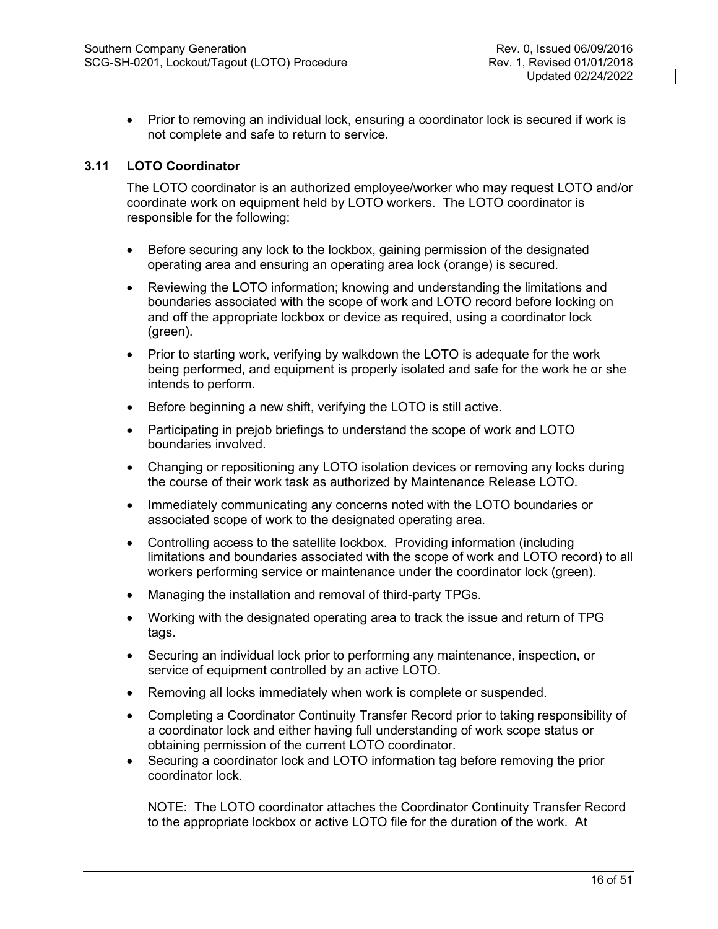• Prior to removing an individual lock, ensuring a coordinator lock is secured if work is not complete and safe to return to service.

# <span id="page-15-0"></span>**3.11 LOTO Coordinator**

The LOTO coordinator is an authorized employee/worker who may request LOTO and/or coordinate work on equipment held by LOTO workers. The LOTO coordinator is responsible for the following:

- Before securing any lock to the lockbox, gaining permission of the designated operating area and ensuring an operating area lock (orange) is secured.
- Reviewing the LOTO information; knowing and understanding the limitations and boundaries associated with the scope of work and LOTO record before locking on and off the appropriate lockbox or device as required, using a coordinator lock (green).
- Prior to starting work, verifying by walkdown the LOTO is adequate for the work being performed, and equipment is properly isolated and safe for the work he or she intends to perform.
- Before beginning a new shift, verifying the LOTO is still active.
- Participating in prejob briefings to understand the scope of work and LOTO boundaries involved.
- Changing or repositioning any LOTO isolation devices or removing any locks during the course of their work task as authorized by Maintenance Release LOTO.
- Immediately communicating any concerns noted with the LOTO boundaries or associated scope of work to the designated operating area.
- Controlling access to the satellite lockbox. Providing information (including limitations and boundaries associated with the scope of work and LOTO record) to all workers performing service or maintenance under the coordinator lock (green).
- Managing the installation and removal of third-party TPGs.
- Working with the designated operating area to track the issue and return of TPG tags.
- Securing an individual lock prior to performing any maintenance, inspection, or service of equipment controlled by an active LOTO.
- Removing all locks immediately when work is complete or suspended.
- Completing a Coordinator Continuity Transfer Record prior to taking responsibility of a coordinator lock and either having full understanding of work scope status or obtaining permission of the current LOTO coordinator.
- Securing a coordinator lock and LOTO information tag before removing the prior coordinator lock.

NOTE: The LOTO coordinator attaches the Coordinator Continuity Transfer Record to the appropriate lockbox or active LOTO file for the duration of the work. At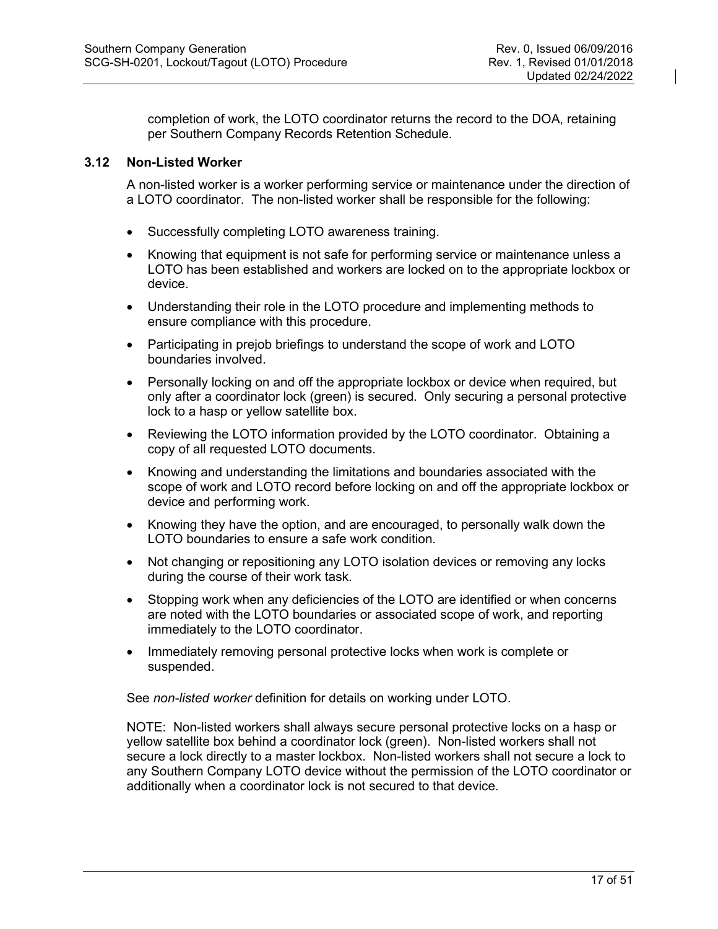completion of work, the LOTO coordinator returns the record to the DOA, retaining per Southern Company Records Retention Schedule.

#### <span id="page-16-0"></span>**3.12 Non-Listed Worker**

A non-listed worker is a worker performing service or maintenance under the direction of a LOTO coordinator. The non-listed worker shall be responsible for the following:

- Successfully completing LOTO awareness training.
- Knowing that equipment is not safe for performing service or maintenance unless a LOTO has been established and workers are locked on to the appropriate lockbox or device.
- Understanding their role in the LOTO procedure and implementing methods to ensure compliance with this procedure.
- Participating in prejob briefings to understand the scope of work and LOTO boundaries involved.
- Personally locking on and off the appropriate lockbox or device when required, but only after a coordinator lock (green) is secured. Only securing a personal protective lock to a hasp or yellow satellite box.
- Reviewing the LOTO information provided by the LOTO coordinator. Obtaining a copy of all requested LOTO documents.
- Knowing and understanding the limitations and boundaries associated with the scope of work and LOTO record before locking on and off the appropriate lockbox or device and performing work.
- Knowing they have the option, and are encouraged, to personally walk down the LOTO boundaries to ensure a safe work condition.
- Not changing or repositioning any LOTO isolation devices or removing any locks during the course of their work task.
- Stopping work when any deficiencies of the LOTO are identified or when concerns are noted with the LOTO boundaries or associated scope of work, and reporting immediately to the LOTO coordinator.
- Immediately removing personal protective locks when work is complete or suspended.

See *non-listed worker* definition for details on working under LOTO.

NOTE: Non-listed workers shall always secure personal protective locks on a hasp or yellow satellite box behind a coordinator lock (green). Non-listed workers shall not secure a lock directly to a master lockbox. Non-listed workers shall not secure a lock to any Southern Company LOTO device without the permission of the LOTO coordinator or additionally when a coordinator lock is not secured to that device.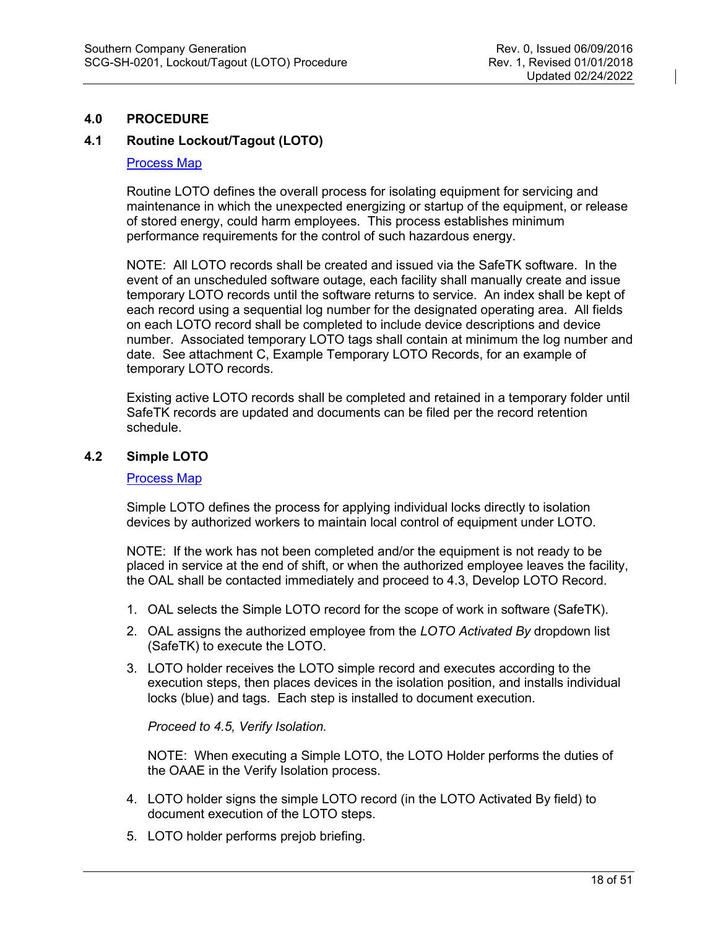# <span id="page-17-0"></span>**4.0 PROCEDURE**

# <span id="page-17-1"></span>**4.1 Routine Lockout/Tagout (LOTO)**

#### [Process Map](http://generationplaybook.southernco.com/Safety/Pages/Routine-Lockout-Tagout.aspx)

Routine LOTO defines the overall process for isolating equipment for servicing and maintenance in which the unexpected energizing or startup of the equipment, or release of stored energy, could harm employees. This process establishes minimum performance requirements for the control of such hazardous energy.

NOTE: All LOTO records shall be created and issued via the SafeTK software. In the event of an unscheduled software outage, each facility shall manually create and issue temporary LOTO records until the software returns to service. An index shall be kept of each record using a sequential log number for the designated operating area. All fields on each LOTO record shall be completed to include device descriptions and device number. Associated temporary LOTO tags shall contain at minimum the log number and date. See attachment C, Example Temporary LOTO Records, for an example of temporary LOTO records.

Existing active LOTO records shall be completed and retained in a temporary folder until SafeTK records are updated and documents can be filed per the record retention schedule.

#### <span id="page-17-2"></span>**4.2 Simple LOTO**

#### [Process Map](http://generationplaybook.southernco.com/Safety/Pages/Simple-LOTO.aspx)

Simple LOTO defines the process for applying individual locks directly to isolation devices by authorized workers to maintain local control of equipment under LOTO.

NOTE: If the work has not been completed and/or the equipment is not ready to be placed in service at the end of shift, or when the authorized employee leaves the facility, the OAL shall be contacted immediately and proceed to 4.3, Develop LOTO Record.

- 1. OAL selects the Simple LOTO record for the scope of work in software (SafeTK).
- 2. OAL assigns the authorized employee from the *LOTO Activated By* dropdown list (SafeTK) to execute the LOTO.
- 3. LOTO holder receives the LOTO simple record and executes according to the execution steps, then places devices in the isolation position, and installs individual locks (blue) and tags. Each step is installed to document execution.

*Proceed to 4.5, Verify Isolation.* 

NOTE: When executing a Simple LOTO, the LOTO Holder performs the duties of the OAAE in the Verify Isolation process.

- 4. LOTO holder signs the simple LOTO record (in the LOTO Activated By field) to document execution of the LOTO steps.
- 5. LOTO holder performs prejob briefing.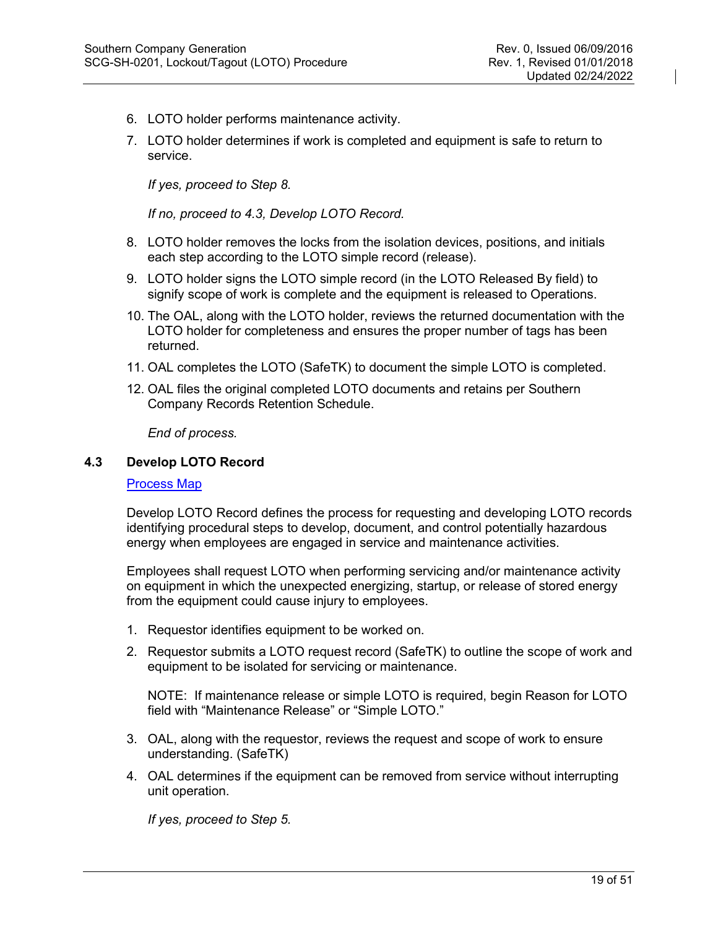- 6. LOTO holder performs maintenance activity.
- 7. LOTO holder determines if work is completed and equipment is safe to return to service.

*If yes, proceed to Step 8.*

*If no, proceed to 4.3, Develop LOTO Record.*

- 8. LOTO holder removes the locks from the isolation devices, positions, and initials each step according to the LOTO simple record (release).
- 9. LOTO holder signs the LOTO simple record (in the LOTO Released By field) to signify scope of work is complete and the equipment is released to Operations.
- 10. The OAL, along with the LOTO holder, reviews the returned documentation with the LOTO holder for completeness and ensures the proper number of tags has been returned.
- 11. OAL completes the LOTO (SafeTK) to document the simple LOTO is completed.
- 12. OAL files the original completed LOTO documents and retains per Southern Company Records Retention Schedule.

*End of process.*

#### <span id="page-18-0"></span>**4.3 Develop LOTO Record**

[Process Map](http://generationplaybook.southernco.com/Safety/Pages/Develop-LOTO-Record.aspx)

Develop LOTO Record defines the process for requesting and developing LOTO records identifying procedural steps to develop, document, and control potentially hazardous energy when employees are engaged in service and maintenance activities.

Employees shall request LOTO when performing servicing and/or maintenance activity on equipment in which the unexpected energizing, startup, or release of stored energy from the equipment could cause injury to employees.

- 1. Requestor identifies equipment to be worked on.
- 2. Requestor submits a LOTO request record (SafeTK) to outline the scope of work and equipment to be isolated for servicing or maintenance.

NOTE: If maintenance release or simple LOTO is required, begin Reason for LOTO field with "Maintenance Release" or "Simple LOTO."

- 3. OAL, along with the requestor, reviews the request and scope of work to ensure understanding. (SafeTK)
- 4. OAL determines if the equipment can be removed from service without interrupting unit operation.

*If yes, proceed to Step 5.*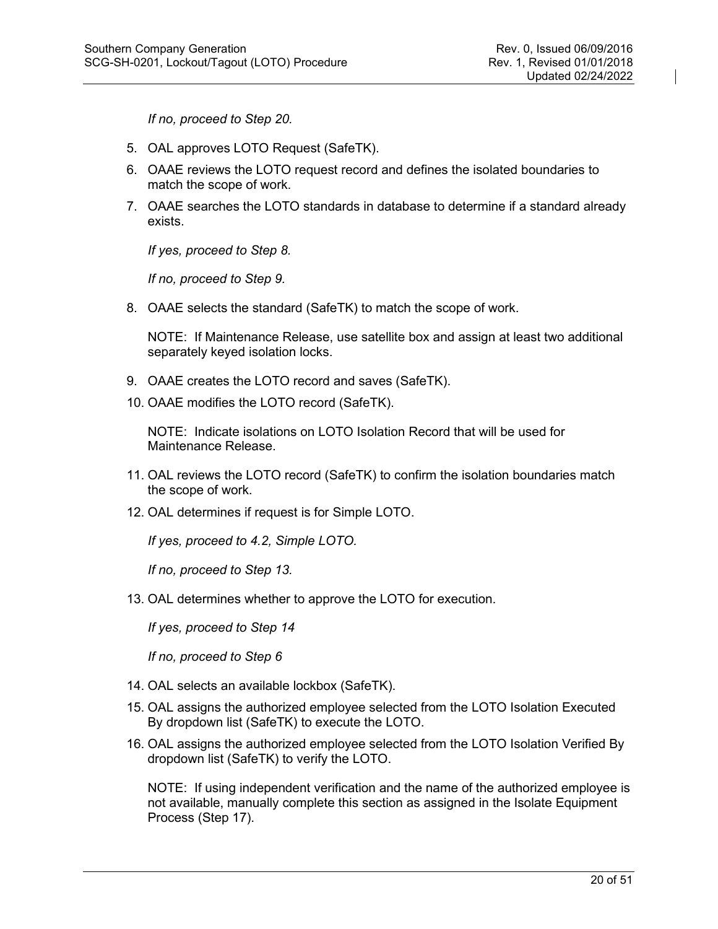*If no, proceed to Step 20.*

- 5. OAL approves LOTO Request (SafeTK).
- 6. OAAE reviews the LOTO request record and defines the isolated boundaries to match the scope of work.
- 7. OAAE searches the LOTO standards in database to determine if a standard already exists.

*If yes, proceed to Step 8.*

*If no, proceed to Step 9.*

8. OAAE selects the standard (SafeTK) to match the scope of work.

NOTE: If Maintenance Release, use satellite box and assign at least two additional separately keyed isolation locks.

- 9. OAAE creates the LOTO record and saves (SafeTK).
- 10. OAAE modifies the LOTO record (SafeTK).

NOTE: Indicate isolations on LOTO Isolation Record that will be used for Maintenance Release.

- 11. OAL reviews the LOTO record (SafeTK) to confirm the isolation boundaries match the scope of work.
- 12. OAL determines if request is for Simple LOTO.

*If yes, proceed to 4.2, Simple LOTO.*

*If no, proceed to Step 13.*

13. OAL determines whether to approve the LOTO for execution.

*If yes, proceed to Step 14* 

*If no, proceed to Step 6* 

- 14. OAL selects an available lockbox (SafeTK).
- 15. OAL assigns the authorized employee selected from the LOTO Isolation Executed By dropdown list (SafeTK) to execute the LOTO.
- 16. OAL assigns the authorized employee selected from the LOTO Isolation Verified By dropdown list (SafeTK) to verify the LOTO.

NOTE: If using independent verification and the name of the authorized employee is not available, manually complete this section as assigned in the Isolate Equipment Process (Step 17).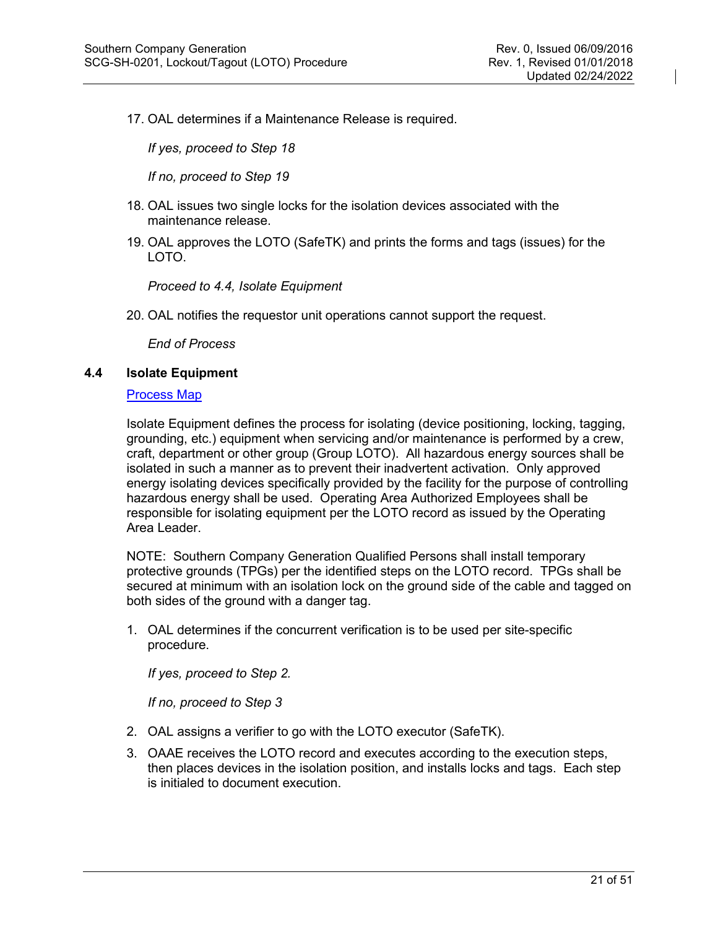17. OAL determines if a Maintenance Release is required.

*If yes, proceed to Step 18* 

*If no, proceed to Step 19*

- 18. OAL issues two single locks for the isolation devices associated with the maintenance release.
- 19. OAL approves the LOTO (SafeTK) and prints the forms and tags (issues) for the LOTO.

*Proceed to 4.4, Isolate Equipment* 

20. OAL notifies the requestor unit operations cannot support the request.

*End of Process* 

#### <span id="page-20-0"></span>**4.4 Isolate Equipment**

## [Process Map](http://generationplaybook.southernco.com/Safety/Pages/Isolate-Equipment.aspx)

Isolate Equipment defines the process for isolating (device positioning, locking, tagging, grounding, etc.) equipment when servicing and/or maintenance is performed by a crew, craft, department or other group (Group LOTO). All hazardous energy sources shall be isolated in such a manner as to prevent their inadvertent activation. Only approved energy isolating devices specifically provided by the facility for the purpose of controlling hazardous energy shall be used. Operating Area Authorized Employees shall be responsible for isolating equipment per the LOTO record as issued by the Operating Area Leader.

NOTE: Southern Company Generation Qualified Persons shall install temporary protective grounds (TPGs) per the identified steps on the LOTO record. TPGs shall be secured at minimum with an isolation lock on the ground side of the cable and tagged on both sides of the ground with a danger tag.

1. OAL determines if the concurrent verification is to be used per site-specific procedure.

*If yes, proceed to Step 2.* 

*If no, proceed to Step 3* 

- 2. OAL assigns a verifier to go with the LOTO executor (SafeTK).
- 3. OAAE receives the LOTO record and executes according to the execution steps, then places devices in the isolation position, and installs locks and tags. Each step is initialed to document execution.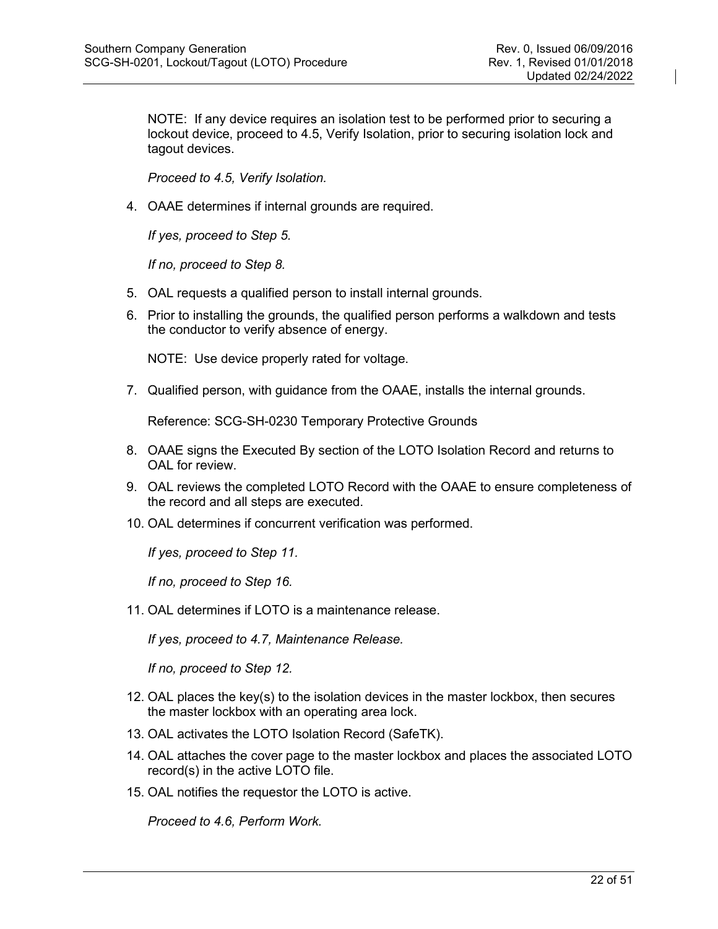NOTE: If any device requires an isolation test to be performed prior to securing a lockout device, proceed to 4.5, Verify Isolation, prior to securing isolation lock and tagout devices.

*Proceed to 4.5, Verify Isolation.* 

4. OAAE determines if internal grounds are required.

*If yes, proceed to Step 5.*

*If no, proceed to Step 8.*

- 5. OAL requests a qualified person to install internal grounds.
- 6. Prior to installing the grounds, the qualified person performs a walkdown and tests the conductor to verify absence of energy.

NOTE: Use device properly rated for voltage.

7. Qualified person, with guidance from the OAAE, installs the internal grounds.

Reference: SCG-SH-0230 Temporary Protective Grounds

- 8. OAAE signs the Executed By section of the LOTO Isolation Record and returns to OAL for review.
- 9. OAL reviews the completed LOTO Record with the OAAE to ensure completeness of the record and all steps are executed.
- 10. OAL determines if concurrent verification was performed.

*If yes, proceed to Step 11.*

*If no, proceed to Step 16.*

11. OAL determines if LOTO is a maintenance release.

*If yes, proceed to 4.7, Maintenance Release.* 

*If no, proceed to Step 12.*

- 12. OAL places the key(s) to the isolation devices in the master lockbox, then secures the master lockbox with an operating area lock.
- 13. OAL activates the LOTO Isolation Record (SafeTK).
- 14. OAL attaches the cover page to the master lockbox and places the associated LOTO record(s) in the active LOTO file.
- 15. OAL notifies the requestor the LOTO is active.

*Proceed to 4.6, Perform Work.*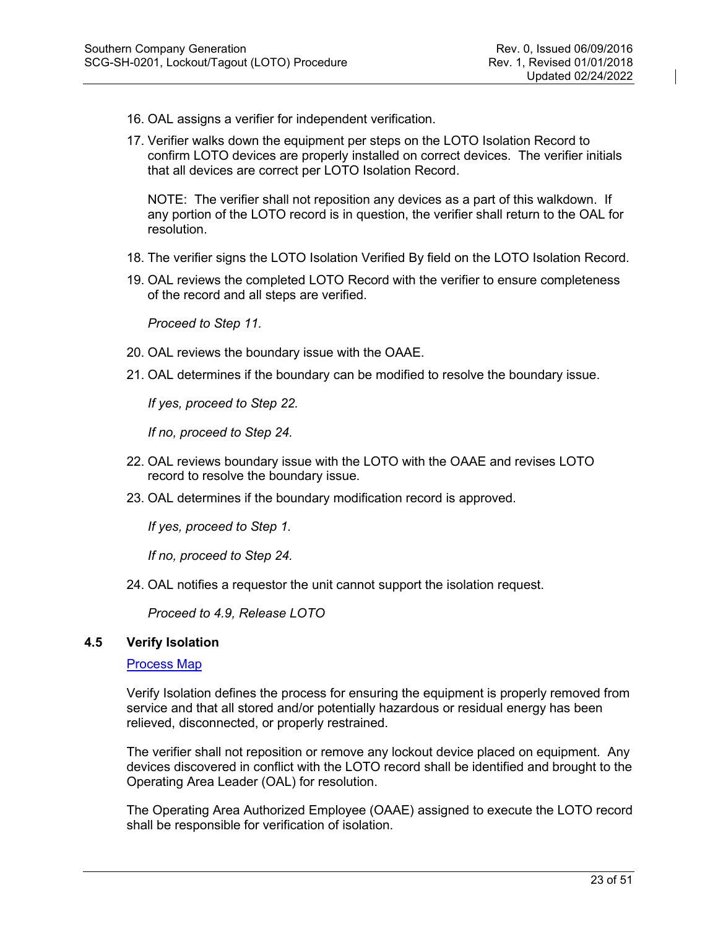- 16. OAL assigns a verifier for independent verification.
- 17. Verifier walks down the equipment per steps on the LOTO Isolation Record to confirm LOTO devices are properly installed on correct devices. The verifier initials that all devices are correct per LOTO Isolation Record.

NOTE: The verifier shall not reposition any devices as a part of this walkdown. If any portion of the LOTO record is in question, the verifier shall return to the OAL for resolution.

- 18. The verifier signs the LOTO Isolation Verified By field on the LOTO Isolation Record.
- 19. OAL reviews the completed LOTO Record with the verifier to ensure completeness of the record and all steps are verified.

*Proceed to Step 11.*

- 20. OAL reviews the boundary issue with the OAAE.
- 21. OAL determines if the boundary can be modified to resolve the boundary issue.

*If yes, proceed to Step 22.*

*If no, proceed to Step 24.*

- 22. OAL reviews boundary issue with the LOTO with the OAAE and revises LOTO record to resolve the boundary issue.
- 23. OAL determines if the boundary modification record is approved.

*If yes, proceed to Step 1.*

*If no, proceed to Step 24.*

24. OAL notifies a requestor the unit cannot support the isolation request.

*Proceed to 4.9, Release LOTO* 

#### <span id="page-22-0"></span>**4.5 Verify Isolation**

#### [Process Map](http://generationplaybook.southernco.com/Safety/Pages/Verify-Isolation.aspx)

Verify Isolation defines the process for ensuring the equipment is properly removed from service and that all stored and/or potentially hazardous or residual energy has been relieved, disconnected, or properly restrained.

The verifier shall not reposition or remove any lockout device placed on equipment. Any devices discovered in conflict with the LOTO record shall be identified and brought to the Operating Area Leader (OAL) for resolution.

The Operating Area Authorized Employee (OAAE) assigned to execute the LOTO record shall be responsible for verification of isolation.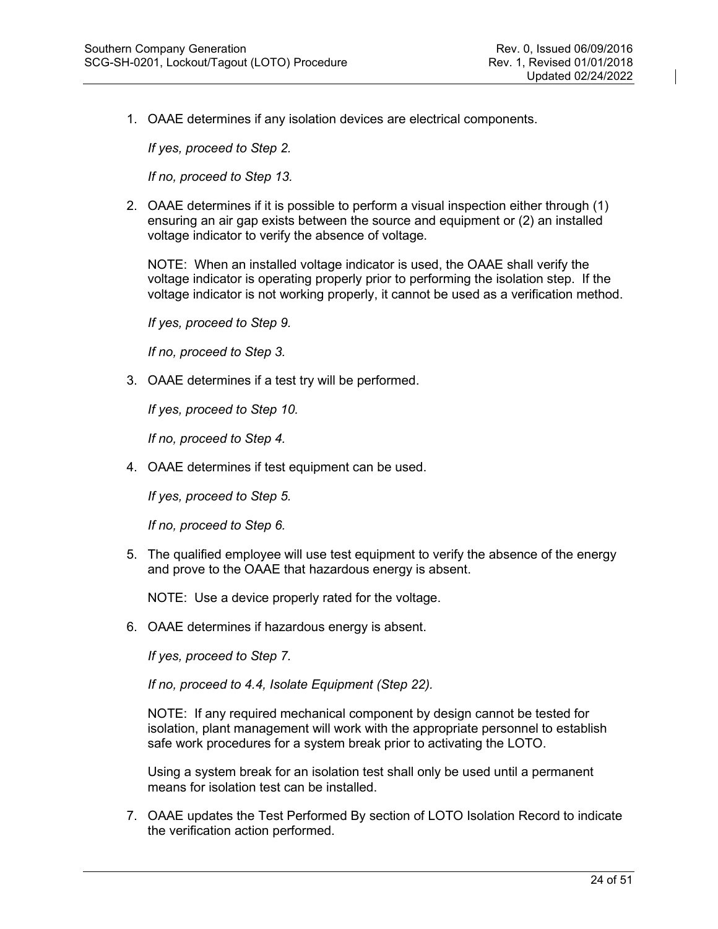1. OAAE determines if any isolation devices are electrical components.

*If yes, proceed to Step 2.*

*If no, proceed to Step 13.*

2. OAAE determines if it is possible to perform a visual inspection either through (1) ensuring an air gap exists between the source and equipment or (2) an installed voltage indicator to verify the absence of voltage.

NOTE: When an installed voltage indicator is used, the OAAE shall verify the voltage indicator is operating properly prior to performing the isolation step. If the voltage indicator is not working properly, it cannot be used as a verification method.

*If yes, proceed to Step 9.*

*If no, proceed to Step 3.*

3. OAAE determines if a test try will be performed.

*If yes, proceed to Step 10.*

*If no, proceed to Step 4.*

4. OAAE determines if test equipment can be used.

*If yes, proceed to Step 5.*

*If no, proceed to Step 6.*

5. The qualified employee will use test equipment to verify the absence of the energy and prove to the OAAE that hazardous energy is absent.

NOTE: Use a device properly rated for the voltage.

6. OAAE determines if hazardous energy is absent.

*If yes, proceed to Step 7.*

*If no, proceed to 4.4, Isolate Equipment (Step 22).* 

NOTE: If any required mechanical component by design cannot be tested for isolation, plant management will work with the appropriate personnel to establish safe work procedures for a system break prior to activating the LOTO.

Using a system break for an isolation test shall only be used until a permanent means for isolation test can be installed.

7. OAAE updates the Test Performed By section of LOTO Isolation Record to indicate the verification action performed.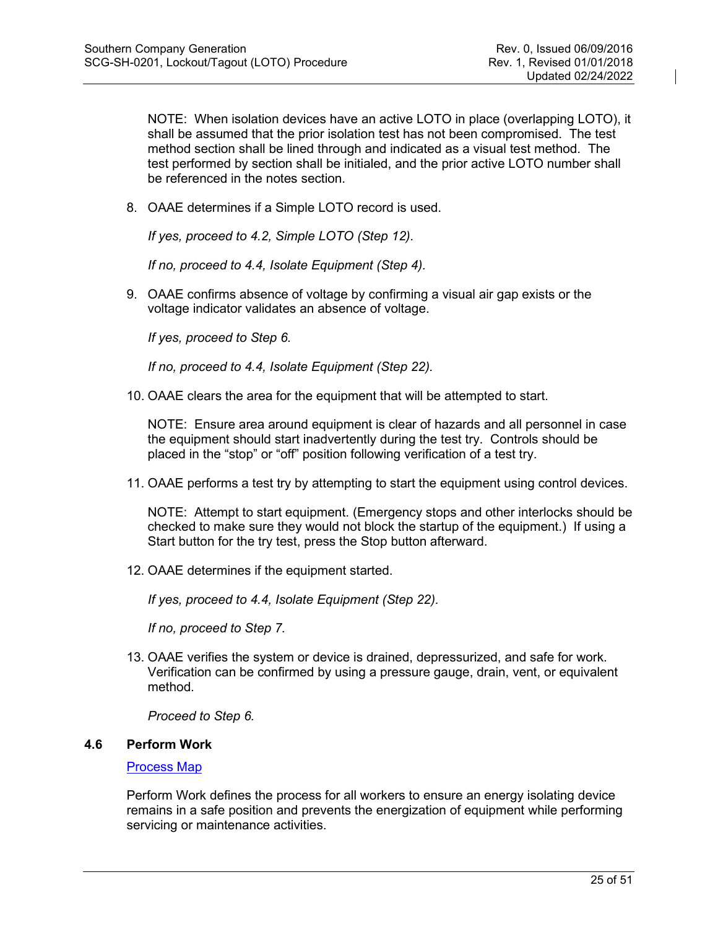NOTE: When isolation devices have an active LOTO in place (overlapping LOTO), it shall be assumed that the prior isolation test has not been compromised. The test method section shall be lined through and indicated as a visual test method. The test performed by section shall be initialed, and the prior active LOTO number shall be referenced in the notes section.

8. OAAE determines if a Simple LOTO record is used.

*If yes, proceed to 4.2, Simple LOTO (Step 12).*

*If no, proceed to 4.4, Isolate Equipment (Step 4).*

9. OAAE confirms absence of voltage by confirming a visual air gap exists or the voltage indicator validates an absence of voltage.

*If yes, proceed to Step 6.*

*If no, proceed to 4.4, Isolate Equipment (Step 22).* 

10. OAAE clears the area for the equipment that will be attempted to start.

NOTE: Ensure area around equipment is clear of hazards and all personnel in case the equipment should start inadvertently during the test try. Controls should be placed in the "stop" or "off" position following verification of a test try.

11. OAAE performs a test try by attempting to start the equipment using control devices.

NOTE: Attempt to start equipment. (Emergency stops and other interlocks should be checked to make sure they would not block the startup of the equipment.) If using a Start button for the try test, press the Stop button afterward.

12. OAAE determines if the equipment started.

*If yes, proceed to 4.4, Isolate Equipment (Step 22).* 

*If no, proceed to Step 7.*

13. OAAE verifies the system or device is drained, depressurized, and safe for work. Verification can be confirmed by using a pressure gauge, drain, vent, or equivalent method.

*Proceed to Step 6.*

# <span id="page-24-0"></span>**4.6 Perform Work**

#### [Process Map](http://generationplaybook.southernco.com/Safety/Pages/Perform-Work.aspx)

Perform Work defines the process for all workers to ensure an energy isolating device remains in a safe position and prevents the energization of equipment while performing servicing or maintenance activities.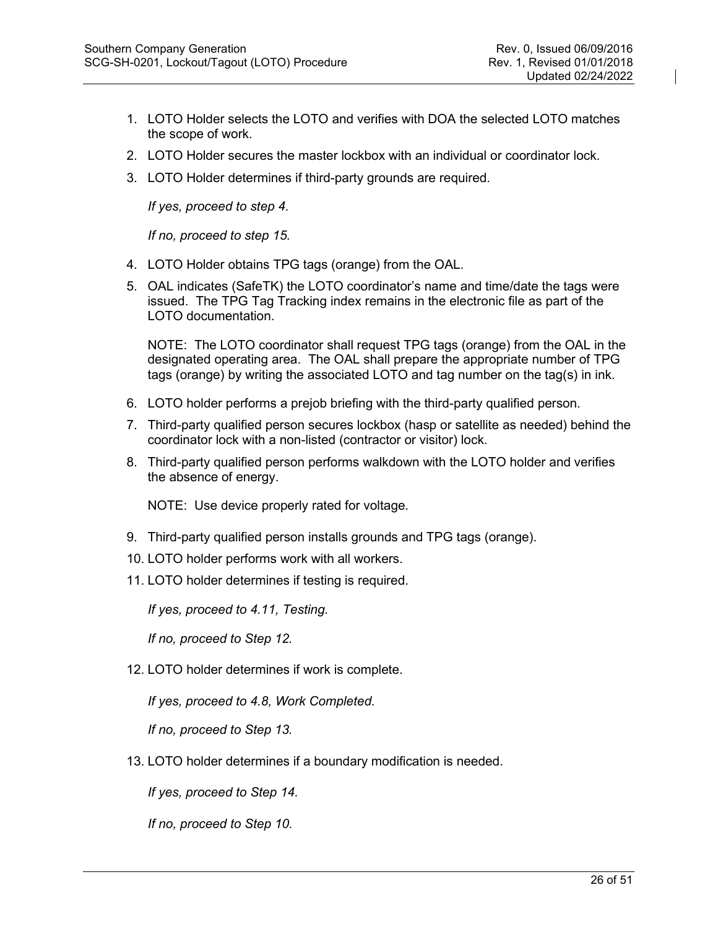- 1. LOTO Holder selects the LOTO and verifies with DOA the selected LOTO matches the scope of work.
- 2. LOTO Holder secures the master lockbox with an individual or coordinator lock.
- 3. LOTO Holder determines if third-party grounds are required.

*If yes, proceed to step 4.*

*If no, proceed to step 15.*

- 4. LOTO Holder obtains TPG tags (orange) from the OAL.
- 5. OAL indicates (SafeTK) the LOTO coordinator's name and time/date the tags were issued. The TPG Tag Tracking index remains in the electronic file as part of the LOTO documentation.

NOTE: The LOTO coordinator shall request TPG tags (orange) from the OAL in the designated operating area. The OAL shall prepare the appropriate number of TPG tags (orange) by writing the associated LOTO and tag number on the tag(s) in ink.

- 6. LOTO holder performs a prejob briefing with the third-party qualified person.
- 7. Third-party qualified person secures lockbox (hasp or satellite as needed) behind the coordinator lock with a non-listed (contractor or visitor) lock.
- 8. Third-party qualified person performs walkdown with the LOTO holder and verifies the absence of energy.

NOTE: Use device properly rated for voltage.

- 9. Third-party qualified person installs grounds and TPG tags (orange).
- 10. LOTO holder performs work with all workers.
- 11. LOTO holder determines if testing is required.

*If yes, proceed to 4.11, Testing.*

*If no, proceed to Step 12.*

12. LOTO holder determines if work is complete.

*If yes, proceed to 4.8, Work Completed.*

*If no, proceed to Step 13.*

13. LOTO holder determines if a boundary modification is needed.

*If yes, proceed to Step 14.*

*If no, proceed to Step 10.*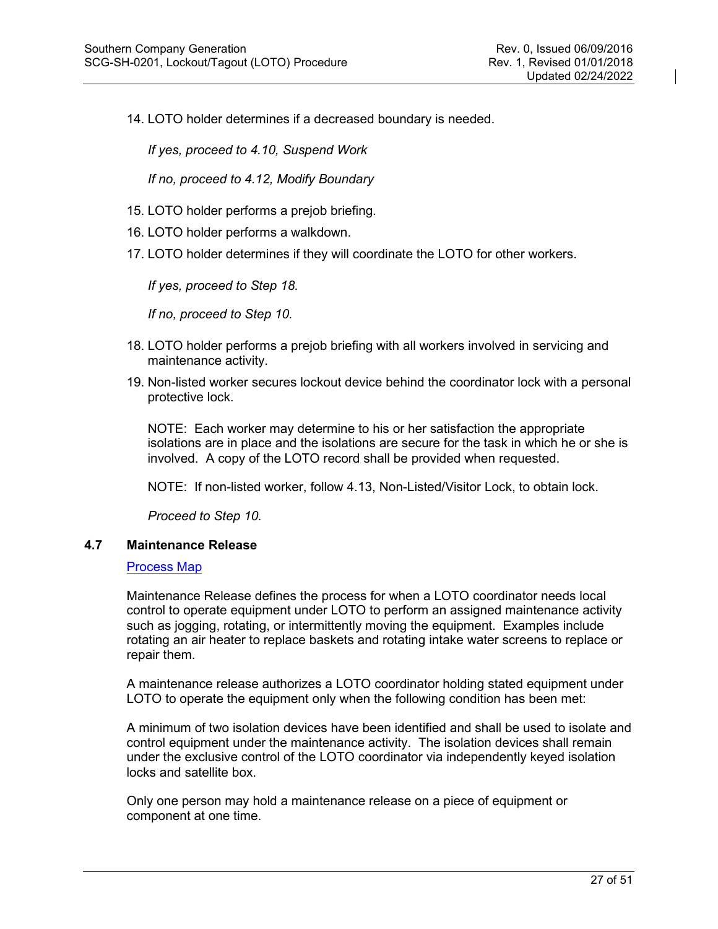14. LOTO holder determines if a decreased boundary is needed.

*If yes, proceed to 4.10, Suspend Work* 

*If no, proceed to 4.12, Modify Boundary*

- 15. LOTO holder performs a prejob briefing.
- 16. LOTO holder performs a walkdown.
- 17. LOTO holder determines if they will coordinate the LOTO for other workers.

*If yes, proceed to Step 18.*

*If no, proceed to Step 10.*

- 18. LOTO holder performs a prejob briefing with all workers involved in servicing and maintenance activity.
- 19. Non-listed worker secures lockout device behind the coordinator lock with a personal protective lock.

NOTE: Each worker may determine to his or her satisfaction the appropriate isolations are in place and the isolations are secure for the task in which he or she is involved. A copy of the LOTO record shall be provided when requested.

NOTE: If non-listed worker, follow 4.13, Non-Listed/Visitor Lock, to obtain lock.

*Proceed to Step 10.*

# <span id="page-26-0"></span>**4.7 Maintenance Release**

#### [Process Map](http://generationplaybook.southernco.com/Safety/Pages/Maintenance-Release.aspx)

Maintenance Release defines the process for when a LOTO coordinator needs local control to operate equipment under LOTO to perform an assigned maintenance activity such as jogging, rotating, or intermittently moving the equipment. Examples include rotating an air heater to replace baskets and rotating intake water screens to replace or repair them.

A maintenance release authorizes a LOTO coordinator holding stated equipment under LOTO to operate the equipment only when the following condition has been met:

A minimum of two isolation devices have been identified and shall be used to isolate and control equipment under the maintenance activity. The isolation devices shall remain under the exclusive control of the LOTO coordinator via independently keyed isolation locks and satellite box.

Only one person may hold a maintenance release on a piece of equipment or component at one time.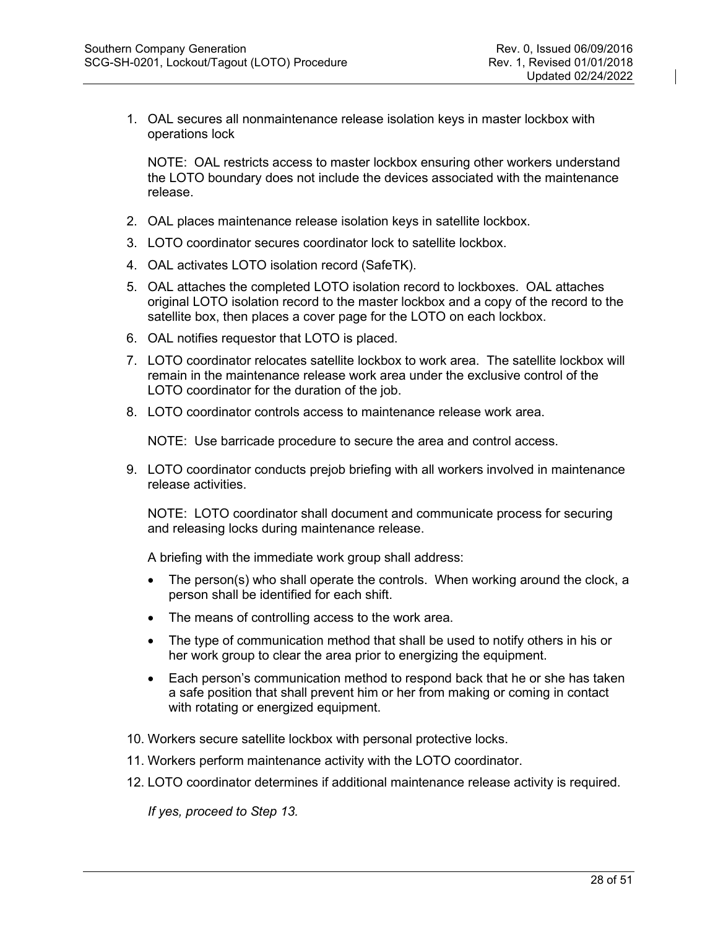1. OAL secures all nonmaintenance release isolation keys in master lockbox with operations lock

NOTE: OAL restricts access to master lockbox ensuring other workers understand the LOTO boundary does not include the devices associated with the maintenance release.

- 2. OAL places maintenance release isolation keys in satellite lockbox.
- 3. LOTO coordinator secures coordinator lock to satellite lockbox.
- 4. OAL activates LOTO isolation record (SafeTK).
- 5. OAL attaches the completed LOTO isolation record to lockboxes. OAL attaches original LOTO isolation record to the master lockbox and a copy of the record to the satellite box, then places a cover page for the LOTO on each lockbox.
- 6. OAL notifies requestor that LOTO is placed.
- 7. LOTO coordinator relocates satellite lockbox to work area. The satellite lockbox will remain in the maintenance release work area under the exclusive control of the LOTO coordinator for the duration of the job.
- 8. LOTO coordinator controls access to maintenance release work area.

NOTE: Use barricade procedure to secure the area and control access.

9. LOTO coordinator conducts prejob briefing with all workers involved in maintenance release activities.

NOTE: LOTO coordinator shall document and communicate process for securing and releasing locks during maintenance release.

A briefing with the immediate work group shall address:

- The person(s) who shall operate the controls. When working around the clock, a person shall be identified for each shift.
- The means of controlling access to the work area.
- The type of communication method that shall be used to notify others in his or her work group to clear the area prior to energizing the equipment.
- Each person's communication method to respond back that he or she has taken a safe position that shall prevent him or her from making or coming in contact with rotating or energized equipment.
- 10. Workers secure satellite lockbox with personal protective locks.
- 11. Workers perform maintenance activity with the LOTO coordinator.
- 12. LOTO coordinator determines if additional maintenance release activity is required.

*If yes, proceed to Step 13.*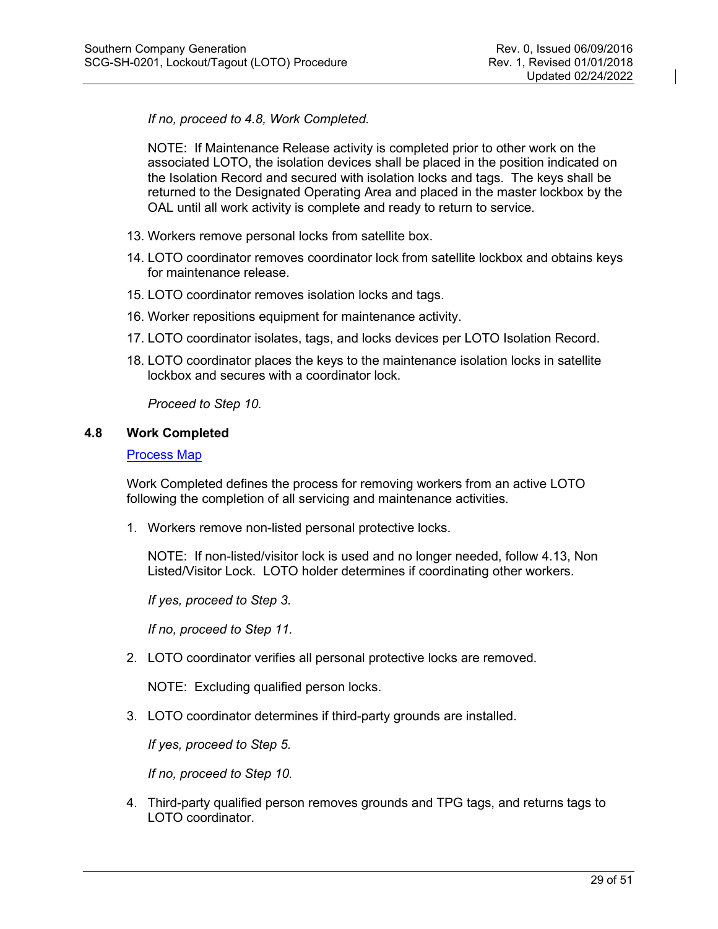*If no, proceed to 4.8, Work Completed.*

NOTE: If Maintenance Release activity is completed prior to other work on the associated LOTO, the isolation devices shall be placed in the position indicated on the Isolation Record and secured with isolation locks and tags. The keys shall be returned to the Designated Operating Area and placed in the master lockbox by the OAL until all work activity is complete and ready to return to service.

- 13. Workers remove personal locks from satellite box.
- 14. LOTO coordinator removes coordinator lock from satellite lockbox and obtains keys for maintenance release.
- 15. LOTO coordinator removes isolation locks and tags.
- 16. Worker repositions equipment for maintenance activity.
- 17. LOTO coordinator isolates, tags, and locks devices per LOTO Isolation Record.
- 18. LOTO coordinator places the keys to the maintenance isolation locks in satellite lockbox and secures with a coordinator lock.

*Proceed to Step 10.*

# <span id="page-28-0"></span>**4.8 Work Completed**

#### [Process Map](http://generationplaybook.southernco.com/Safety/Pages/Work-Completed.aspx)

Work Completed defines the process for removing workers from an active LOTO following the completion of all servicing and maintenance activities.

1. Workers remove non-listed personal protective locks.

NOTE: If non-listed/visitor lock is used and no longer needed, follow 4.13, Non Listed/Visitor Lock. LOTO holder determines if coordinating other workers.

*If yes, proceed to Step 3.*

*If no, proceed to Step 11.*

2. LOTO coordinator verifies all personal protective locks are removed.

NOTE: Excluding qualified person locks.

3. LOTO coordinator determines if third-party grounds are installed.

*If yes, proceed to Step 5.*

*If no, proceed to Step 10.*

4. Third-party qualified person removes grounds and TPG tags, and returns tags to LOTO coordinator.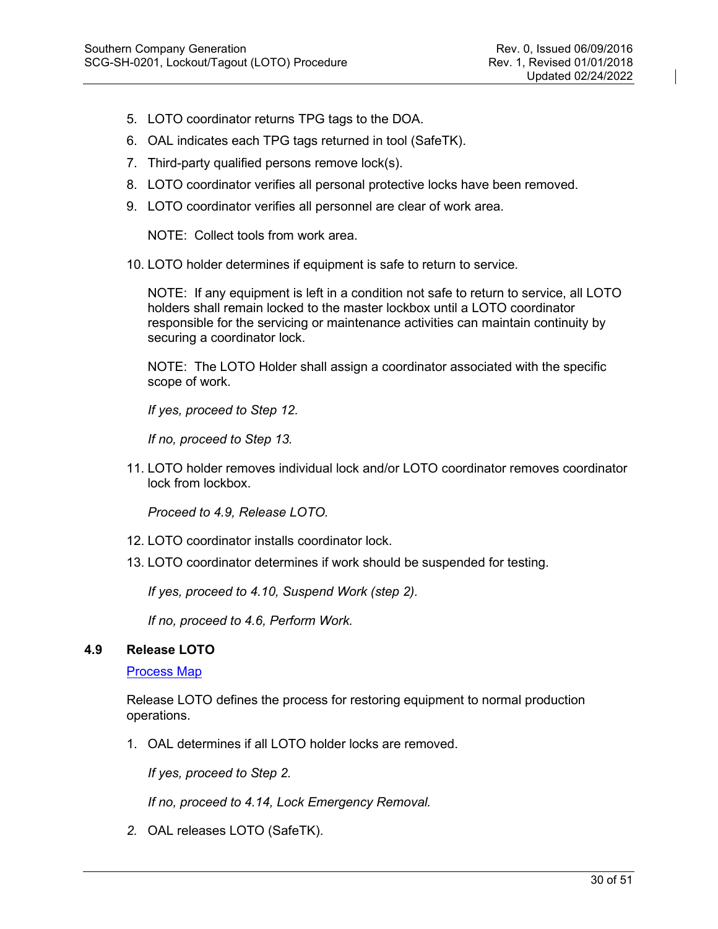- 5. LOTO coordinator returns TPG tags to the DOA.
- 6. OAL indicates each TPG tags returned in tool (SafeTK).
- 7. Third-party qualified persons remove lock(s).
- 8. LOTO coordinator verifies all personal protective locks have been removed.
- 9. LOTO coordinator verifies all personnel are clear of work area.

NOTE: Collect tools from work area.

10. LOTO holder determines if equipment is safe to return to service.

NOTE: If any equipment is left in a condition not safe to return to service, all LOTO holders shall remain locked to the master lockbox until a LOTO coordinator responsible for the servicing or maintenance activities can maintain continuity by securing a coordinator lock.

NOTE: The LOTO Holder shall assign a coordinator associated with the specific scope of work.

*If yes, proceed to Step 12.*

*If no, proceed to Step 13.*

11. LOTO holder removes individual lock and/or LOTO coordinator removes coordinator lock from lockbox.

*Proceed to 4.9, Release LOTO.*

- 12. LOTO coordinator installs coordinator lock.
- 13. LOTO coordinator determines if work should be suspended for testing.

*If yes, proceed to 4.10, Suspend Work (step 2).*

*If no, proceed to 4.6, Perform Work.*

#### <span id="page-29-0"></span>**4.9 Release LOTO**

[Process Map](http://generationplaybook.southernco.com/Safety/Pages/Release-LOTO.aspx)

Release LOTO defines the process for restoring equipment to normal production operations.

1. OAL determines if all LOTO holder locks are removed.

*If yes, proceed to Step 2.*

*If no, proceed to 4.14, Lock Emergency Removal.*

*2.* OAL releases LOTO (SafeTK).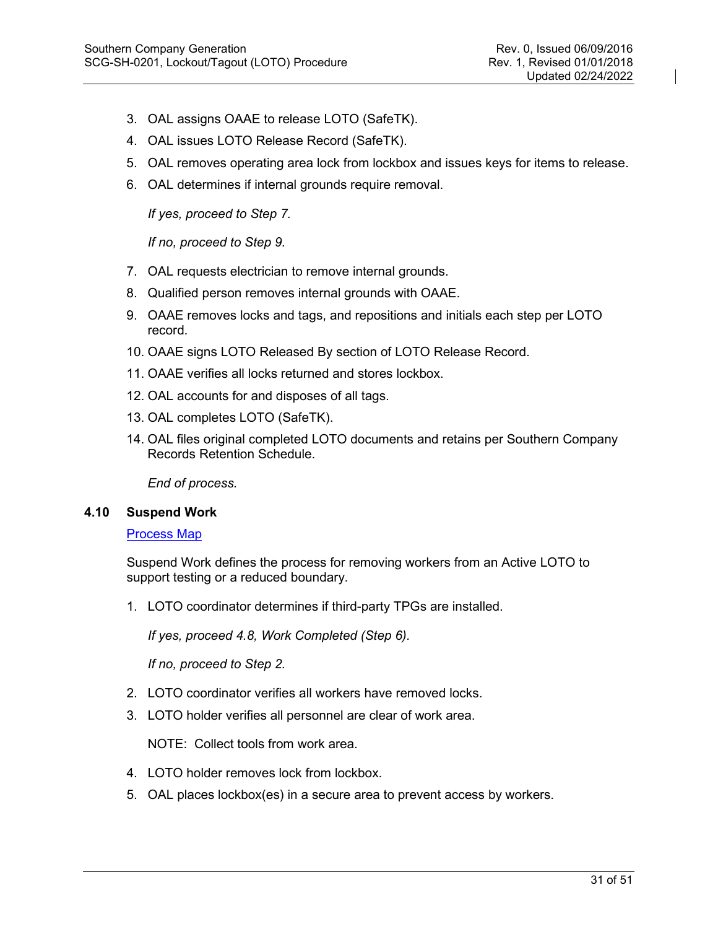- 3. OAL assigns OAAE to release LOTO (SafeTK).
- 4. OAL issues LOTO Release Record (SafeTK).
- 5. OAL removes operating area lock from lockbox and issues keys for items to release.
- 6. OAL determines if internal grounds require removal.

*If yes, proceed to Step 7.*

*If no, proceed to Step 9.*

- 7. OAL requests electrician to remove internal grounds.
- 8. Qualified person removes internal grounds with OAAE.
- 9. OAAE removes locks and tags, and repositions and initials each step per LOTO record.
- 10. OAAE signs LOTO Released By section of LOTO Release Record.
- 11. OAAE verifies all locks returned and stores lockbox.
- 12. OAL accounts for and disposes of all tags.
- 13. OAL completes LOTO (SafeTK).
- 14. OAL files original completed LOTO documents and retains per Southern Company Records Retention Schedule.

*End of process.*

#### <span id="page-30-0"></span>**4.10 Suspend Work**

#### [Process Map](http://generationplaybook.southernco.com/Safety/Pages/Suspend-Work.aspx)

Suspend Work defines the process for removing workers from an Active LOTO to support testing or a reduced boundary.

1. LOTO coordinator determines if third-party TPGs are installed.

*If yes, proceed 4.8, Work Completed (Step 6).*

*If no, proceed to Step 2.*

- 2. LOTO coordinator verifies all workers have removed locks.
- 3. LOTO holder verifies all personnel are clear of work area.

NOTE: Collect tools from work area.

- 4. LOTO holder removes lock from lockbox.
- 5. OAL places lockbox(es) in a secure area to prevent access by workers.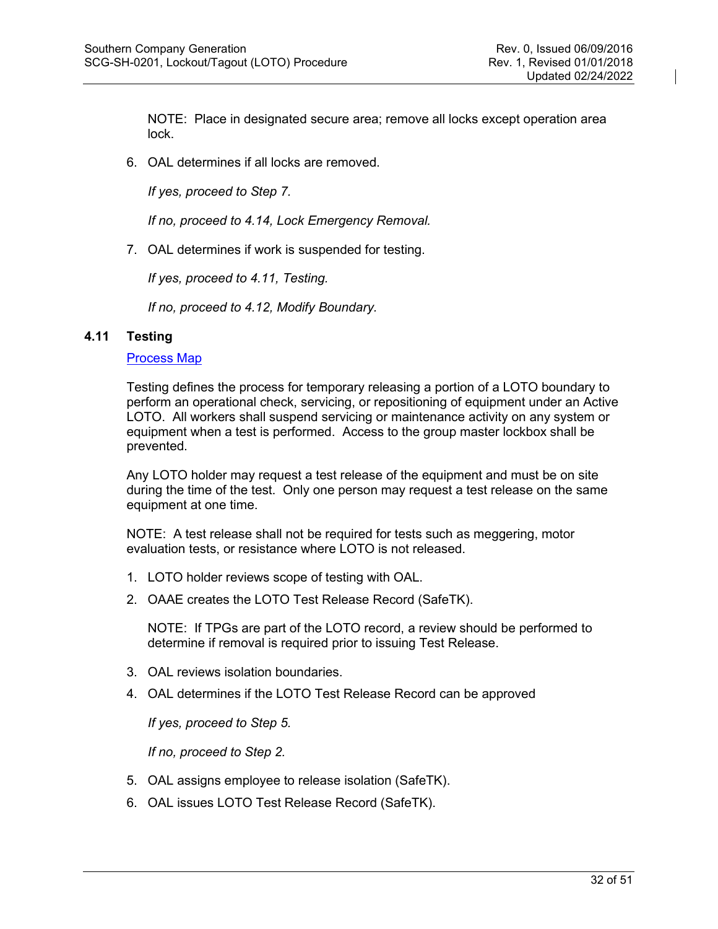NOTE: Place in designated secure area; remove all locks except operation area lock.

6. OAL determines if all locks are removed.

*If yes, proceed to Step 7.*

*If no, proceed to 4.14, Lock Emergency Removal.*

7. OAL determines if work is suspended for testing.

*If yes, proceed to 4.11, Testing.*

*If no, proceed to 4.12, Modify Boundary.*

# <span id="page-31-0"></span>**4.11 Testing**

# [Process Map](http://generationplaybook.southernco.com/Safety/Pages/Testing.aspx)

Testing defines the process for temporary releasing a portion of a LOTO boundary to perform an operational check, servicing, or repositioning of equipment under an Active LOTO. All workers shall suspend servicing or maintenance activity on any system or equipment when a test is performed. Access to the group master lockbox shall be prevented.

Any LOTO holder may request a test release of the equipment and must be on site during the time of the test. Only one person may request a test release on the same equipment at one time.

NOTE: A test release shall not be required for tests such as meggering, motor evaluation tests, or resistance where LOTO is not released.

- 1. LOTO holder reviews scope of testing with OAL.
- 2. OAAE creates the LOTO Test Release Record (SafeTK).

NOTE: If TPGs are part of the LOTO record, a review should be performed to determine if removal is required prior to issuing Test Release.

- 3. OAL reviews isolation boundaries.
- 4. OAL determines if the LOTO Test Release Record can be approved

*If yes, proceed to Step 5.*

*If no, proceed to Step 2.*

- 5. OAL assigns employee to release isolation (SafeTK).
- 6. OAL issues LOTO Test Release Record (SafeTK).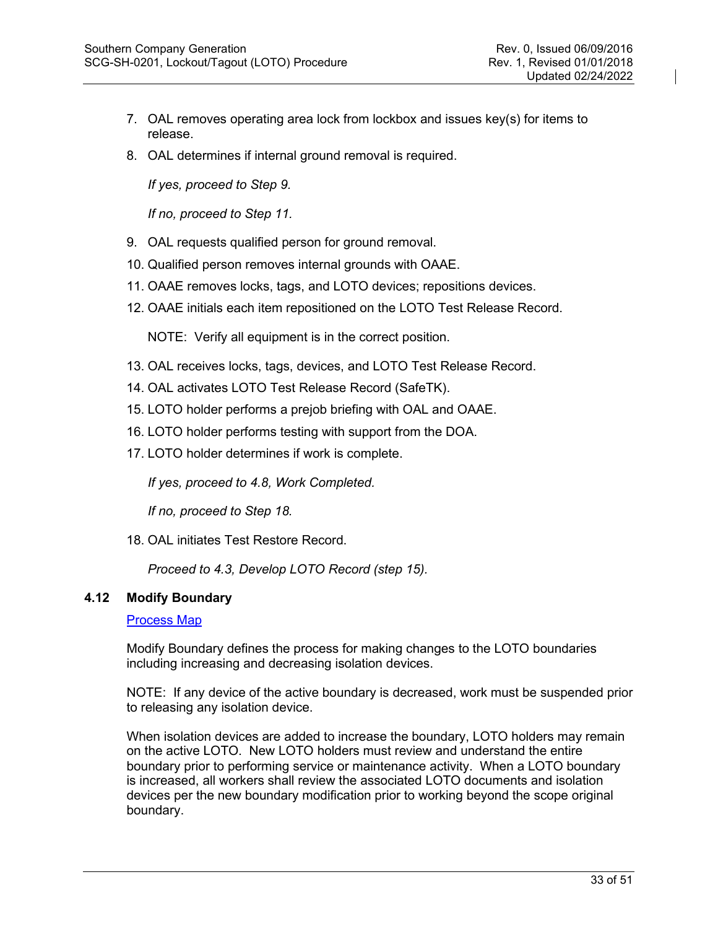- 7. OAL removes operating area lock from lockbox and issues key(s) for items to release.
- 8. OAL determines if internal ground removal is required.

*If yes, proceed to Step 9.*

*If no, proceed to Step 11.*

- 9. OAL requests qualified person for ground removal.
- 10. Qualified person removes internal grounds with OAAE.
- 11. OAAE removes locks, tags, and LOTO devices; repositions devices.
- 12. OAAE initials each item repositioned on the LOTO Test Release Record.

NOTE: Verify all equipment is in the correct position.

- 13. OAL receives locks, tags, devices, and LOTO Test Release Record.
- 14. OAL activates LOTO Test Release Record (SafeTK).
- 15. LOTO holder performs a prejob briefing with OAL and OAAE.
- 16. LOTO holder performs testing with support from the DOA.
- 17. LOTO holder determines if work is complete.

*If yes, proceed to 4.8, Work Completed.*

*If no, proceed to Step 18.*

18. OAL initiates Test Restore Record.

*Proceed to 4.3, Develop LOTO Record (step 15).*

#### <span id="page-32-0"></span>**4.12 Modify Boundary**

#### [Process Map](http://generationplaybook.southernco.com/Safety/Pages/Modify-Boundary.aspx)

Modify Boundary defines the process for making changes to the LOTO boundaries including increasing and decreasing isolation devices.

NOTE: If any device of the active boundary is decreased, work must be suspended prior to releasing any isolation device.

When isolation devices are added to increase the boundary, LOTO holders may remain on the active LOTO. New LOTO holders must review and understand the entire boundary prior to performing service or maintenance activity. When a LOTO boundary is increased, all workers shall review the associated LOTO documents and isolation devices per the new boundary modification prior to working beyond the scope original boundary.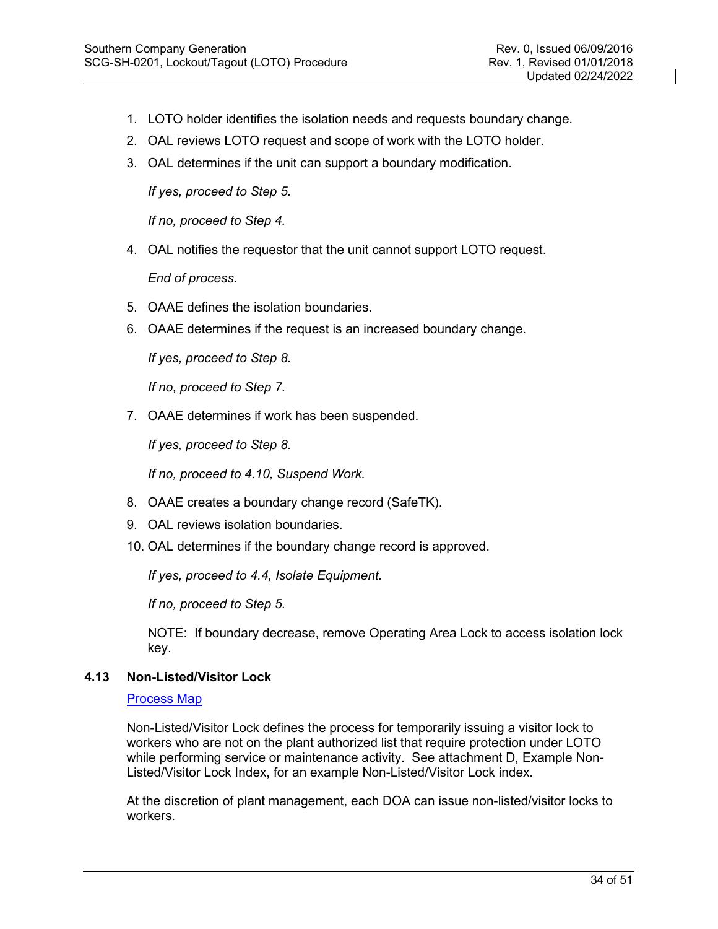- 1. LOTO holder identifies the isolation needs and requests boundary change.
- 2. OAL reviews LOTO request and scope of work with the LOTO holder.
- 3. OAL determines if the unit can support a boundary modification.

*If yes, proceed to Step 5.*

*If no, proceed to Step 4.*

4. OAL notifies the requestor that the unit cannot support LOTO request.

*End of process.*

- 5. OAAE defines the isolation boundaries.
- 6. OAAE determines if the request is an increased boundary change.

*If yes, proceed to Step 8.*

*If no, proceed to Step 7.*

7. OAAE determines if work has been suspended.

*If yes, proceed to Step 8.*

*If no, proceed to 4.10, Suspend Work.*

- 8. OAAE creates a boundary change record (SafeTK).
- 9. OAL reviews isolation boundaries.
- 10. OAL determines if the boundary change record is approved.

*If yes, proceed to 4.4, Isolate Equipment.*

*If no, proceed to Step 5.*

NOTE: If boundary decrease, remove Operating Area Lock to access isolation lock key.

# <span id="page-33-0"></span>**4.13 Non-Listed/Visitor Lock**

[Process Map](http://generationplaybook.southernco.com/Safety/Pages/Non-Listed-Worker.aspx)

Non-Listed/Visitor Lock defines the process for temporarily issuing a visitor lock to workers who are not on the plant authorized list that require protection under LOTO while performing service or maintenance activity. See attachment D, Example Non-Listed/Visitor Lock Index, for an example Non-Listed/Visitor Lock index.

At the discretion of plant management, each DOA can issue non-listed/visitor locks to workers.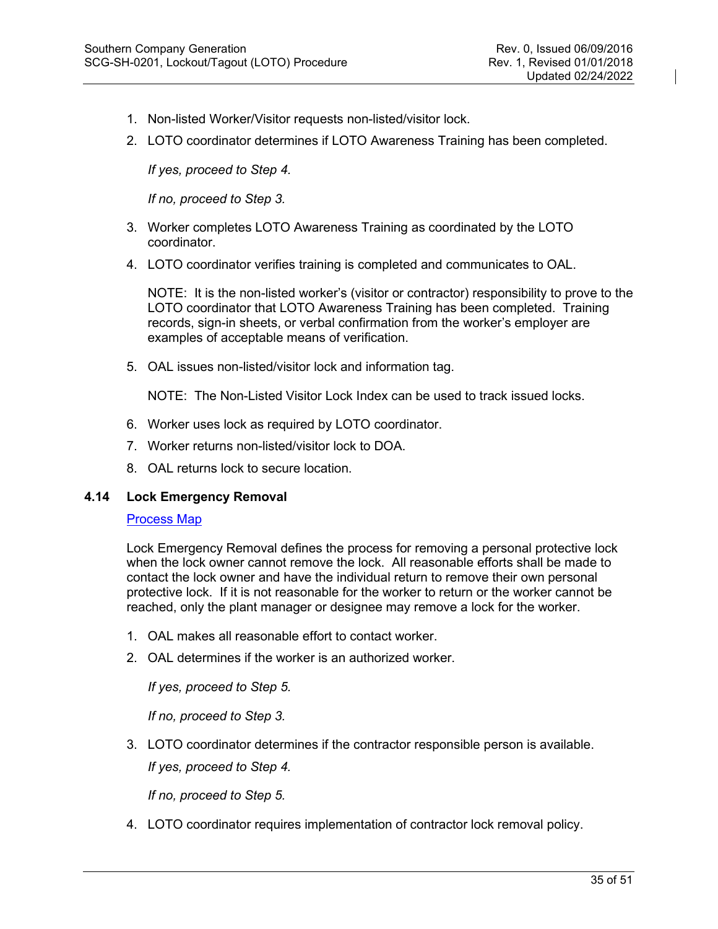- 1. Non-listed Worker/Visitor requests non-listed/visitor lock.
- 2. LOTO coordinator determines if LOTO Awareness Training has been completed.

*If yes, proceed to Step 4.*

*If no, proceed to Step 3.*

- 3. Worker completes LOTO Awareness Training as coordinated by the LOTO coordinator.
- 4. LOTO coordinator verifies training is completed and communicates to OAL.

NOTE: It is the non-listed worker's (visitor or contractor) responsibility to prove to the LOTO coordinator that LOTO Awareness Training has been completed. Training records, sign-in sheets, or verbal confirmation from the worker's employer are examples of acceptable means of verification.

5. OAL issues non-listed/visitor lock and information tag.

NOTE: The Non-Listed Visitor Lock Index can be used to track issued locks.

- 6. Worker uses lock as required by LOTO coordinator.
- 7. Worker returns non-listed/visitor lock to DOA.
- 8. OAL returns lock to secure location.

#### <span id="page-34-0"></span>**4.14 Lock Emergency Removal**

# [Process Map](http://generationplaybook.southernco.com/Safety/Pages/Lock-Emergency-Removal.aspx)

Lock Emergency Removal defines the process for removing a personal protective lock when the lock owner cannot remove the lock. All reasonable efforts shall be made to contact the lock owner and have the individual return to remove their own personal protective lock. If it is not reasonable for the worker to return or the worker cannot be reached, only the plant manager or designee may remove a lock for the worker.

- 1. OAL makes all reasonable effort to contact worker.
- 2. OAL determines if the worker is an authorized worker.

*If yes, proceed to Step 5.*

*If no, proceed to Step 3.*

3. LOTO coordinator determines if the contractor responsible person is available.

*If yes, proceed to Step 4.*

*If no, proceed to Step 5.*

4. LOTO coordinator requires implementation of contractor lock removal policy.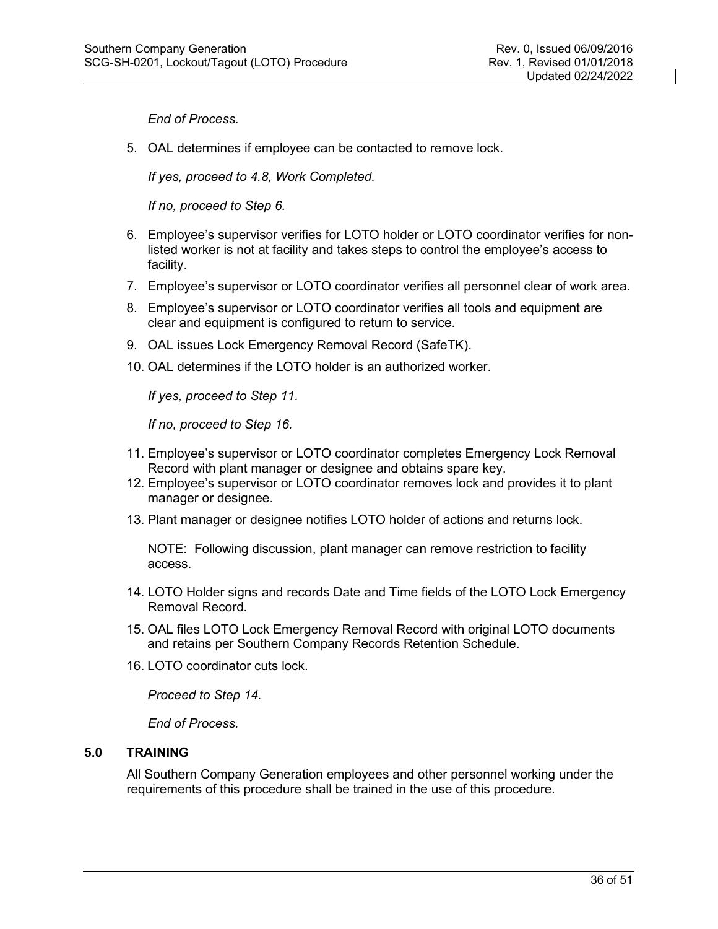*End of Process.*

5. OAL determines if employee can be contacted to remove lock.

*If yes, proceed to 4.8, Work Completed.*

*If no, proceed to Step 6.*

- 6. Employee's supervisor verifies for LOTO holder or LOTO coordinator verifies for nonlisted worker is not at facility and takes steps to control the employee's access to facility.
- 7. Employee's supervisor or LOTO coordinator verifies all personnel clear of work area.
- 8. Employee's supervisor or LOTO coordinator verifies all tools and equipment are clear and equipment is configured to return to service.
- 9. OAL issues Lock Emergency Removal Record (SafeTK).
- 10. OAL determines if the LOTO holder is an authorized worker.

*If yes, proceed to Step 11.*

*If no, proceed to Step 16.*

- 11. Employee's supervisor or LOTO coordinator completes Emergency Lock Removal Record with plant manager or designee and obtains spare key.
- 12. Employee's supervisor or LOTO coordinator removes lock and provides it to plant manager or designee.
- 13. Plant manager or designee notifies LOTO holder of actions and returns lock.

NOTE: Following discussion, plant manager can remove restriction to facility access.

- 14. LOTO Holder signs and records Date and Time fields of the LOTO Lock Emergency Removal Record.
- 15. OAL files LOTO Lock Emergency Removal Record with original LOTO documents and retains per Southern Company Records Retention Schedule.
- 16. LOTO coordinator cuts lock.

*Proceed to Step 14.*

*End of Process.*

#### <span id="page-35-0"></span>**5.0 TRAINING**

All Southern Company Generation employees and other personnel working under the requirements of this procedure shall be trained in the use of this procedure.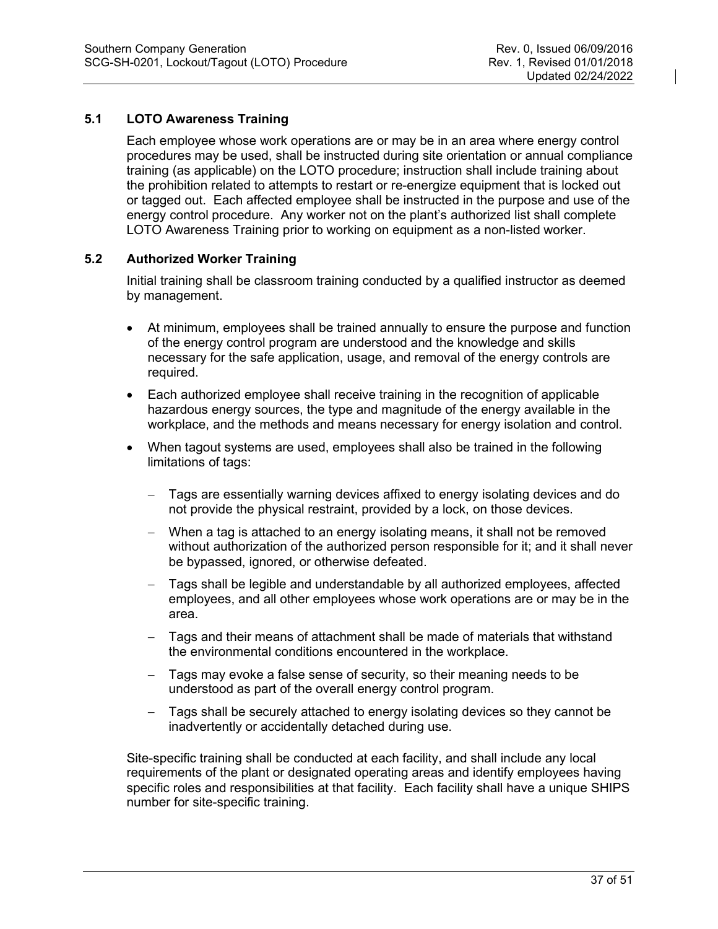# <span id="page-36-0"></span>**5.1 LOTO Awareness Training**

Each employee whose work operations are or may be in an area where energy control procedures may be used, shall be instructed during site orientation or annual compliance training (as applicable) on the LOTO procedure; instruction shall include training about the prohibition related to attempts to restart or re-energize equipment that is locked out or tagged out. Each affected employee shall be instructed in the purpose and use of the energy control procedure. Any worker not on the plant's authorized list shall complete LOTO Awareness Training prior to working on equipment as a non-listed worker.

# <span id="page-36-1"></span>**5.2 Authorized Worker Training**

Initial training shall be classroom training conducted by a qualified instructor as deemed by management.

- At minimum, employees shall be trained annually to ensure the purpose and function of the energy control program are understood and the knowledge and skills necessary for the safe application, usage, and removal of the energy controls are required.
- Each authorized employee shall receive training in the recognition of applicable hazardous energy sources, the type and magnitude of the energy available in the workplace, and the methods and means necessary for energy isolation and control.
- When tagout systems are used, employees shall also be trained in the following limitations of tags:
	- − Tags are essentially warning devices affixed to energy isolating devices and do not provide the physical restraint, provided by a lock, on those devices.
	- − When a tag is attached to an energy isolating means, it shall not be removed without authorization of the authorized person responsible for it; and it shall never be bypassed, ignored, or otherwise defeated.
	- − Tags shall be legible and understandable by all authorized employees, affected employees, and all other employees whose work operations are or may be in the area.
	- − Tags and their means of attachment shall be made of materials that withstand the environmental conditions encountered in the workplace.
	- − Tags may evoke a false sense of security, so their meaning needs to be understood as part of the overall energy control program.
	- − Tags shall be securely attached to energy isolating devices so they cannot be inadvertently or accidentally detached during use.

Site-specific training shall be conducted at each facility, and shall include any local requirements of the plant or designated operating areas and identify employees having specific roles and responsibilities at that facility. Each facility shall have a unique SHIPS number for site-specific training.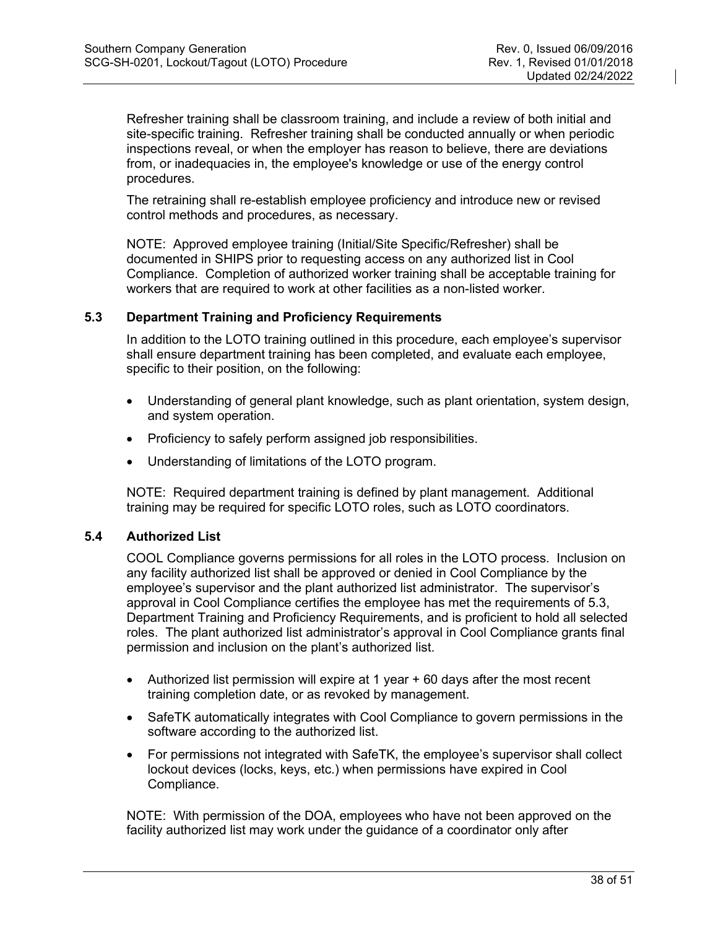Refresher training shall be classroom training, and include a review of both initial and site-specific training. Refresher training shall be conducted annually or when periodic inspections reveal, or when the employer has reason to believe, there are deviations from, or inadequacies in, the employee's knowledge or use of the energy control procedures.

The retraining shall re-establish employee proficiency and introduce new or revised control methods and procedures, as necessary.

NOTE: Approved employee training (Initial/Site Specific/Refresher) shall be documented in SHIPS prior to requesting access on any authorized list in Cool Compliance. Completion of authorized worker training shall be acceptable training for workers that are required to work at other facilities as a non-listed worker.

#### <span id="page-37-0"></span>**5.3 Department Training and Proficiency Requirements**

In addition to the LOTO training outlined in this procedure, each employee's supervisor shall ensure department training has been completed, and evaluate each employee, specific to their position, on the following:

- Understanding of general plant knowledge, such as plant orientation, system design, and system operation.
- Proficiency to safely perform assigned job responsibilities.
- Understanding of limitations of the LOTO program.

NOTE: Required department training is defined by plant management. Additional training may be required for specific LOTO roles, such as LOTO coordinators.

# <span id="page-37-1"></span>**5.4 Authorized List**

COOL Compliance governs permissions for all roles in the LOTO process. Inclusion on any facility authorized list shall be approved or denied in Cool Compliance by the employee's supervisor and the plant authorized list administrator. The supervisor's approval in Cool Compliance certifies the employee has met the requirements of 5.3, Department Training and Proficiency Requirements, and is proficient to hold all selected roles. The plant authorized list administrator's approval in Cool Compliance grants final permission and inclusion on the plant's authorized list.

- Authorized list permission will expire at 1 year + 60 days after the most recent training completion date, or as revoked by management.
- SafeTK automatically integrates with Cool Compliance to govern permissions in the software according to the authorized list.
- For permissions not integrated with SafeTK, the employee's supervisor shall collect lockout devices (locks, keys, etc.) when permissions have expired in Cool Compliance.

NOTE: With permission of the DOA, employees who have not been approved on the facility authorized list may work under the guidance of a coordinator only after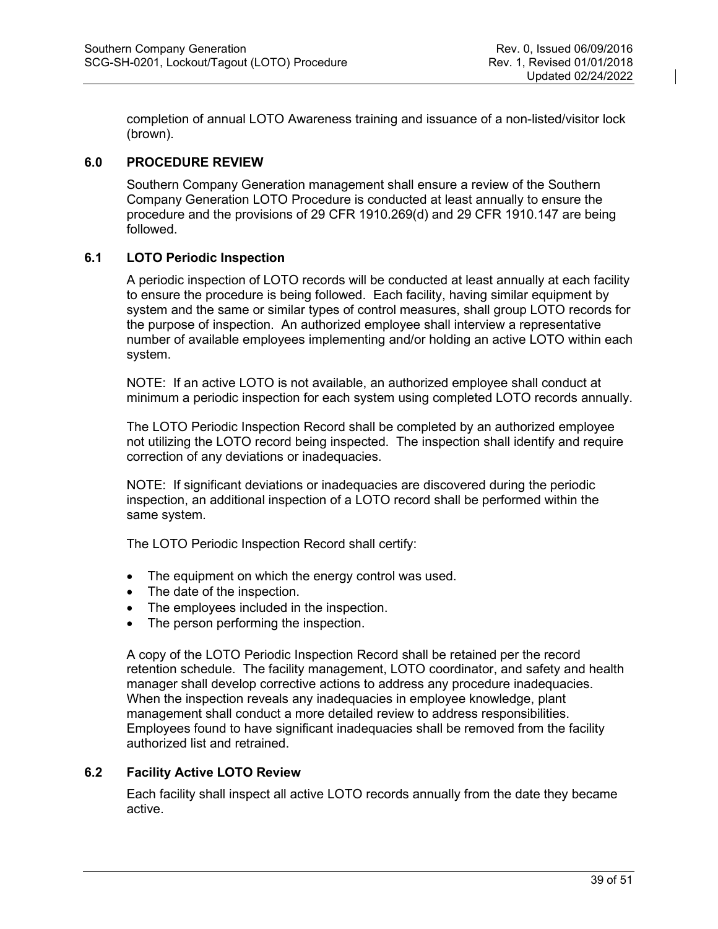completion of annual LOTO Awareness training and issuance of a non-listed/visitor lock (brown).

# <span id="page-38-0"></span>**6.0 PROCEDURE REVIEW**

Southern Company Generation management shall ensure a review of the Southern Company Generation LOTO Procedure is conducted at least annually to ensure the procedure and the provisions of 29 CFR 1910.269(d) and 29 CFR 1910.147 are being followed.

# <span id="page-38-1"></span>**6.1 LOTO Periodic Inspection**

A periodic inspection of LOTO records will be conducted at least annually at each facility to ensure the procedure is being followed. Each facility, having similar equipment by system and the same or similar types of control measures, shall group LOTO records for the purpose of inspection. An authorized employee shall interview a representative number of available employees implementing and/or holding an active LOTO within each system.

NOTE: If an active LOTO is not available, an authorized employee shall conduct at minimum a periodic inspection for each system using completed LOTO records annually.

The LOTO Periodic Inspection Record shall be completed by an authorized employee not utilizing the LOTO record being inspected. The inspection shall identify and require correction of any deviations or inadequacies.

NOTE: If significant deviations or inadequacies are discovered during the periodic inspection, an additional inspection of a LOTO record shall be performed within the same system.

The LOTO Periodic Inspection Record shall certify:

- The equipment on which the energy control was used.
- The date of the inspection.
- The employees included in the inspection.
- The person performing the inspection.

A copy of the LOTO Periodic Inspection Record shall be retained per the record retention schedule. The facility management, LOTO coordinator, and safety and health manager shall develop corrective actions to address any procedure inadequacies. When the inspection reveals any inadequacies in employee knowledge, plant management shall conduct a more detailed review to address responsibilities. Employees found to have significant inadequacies shall be removed from the facility authorized list and retrained.

# <span id="page-38-2"></span>**6.2 Facility Active LOTO Review**

Each facility shall inspect all active LOTO records annually from the date they became active.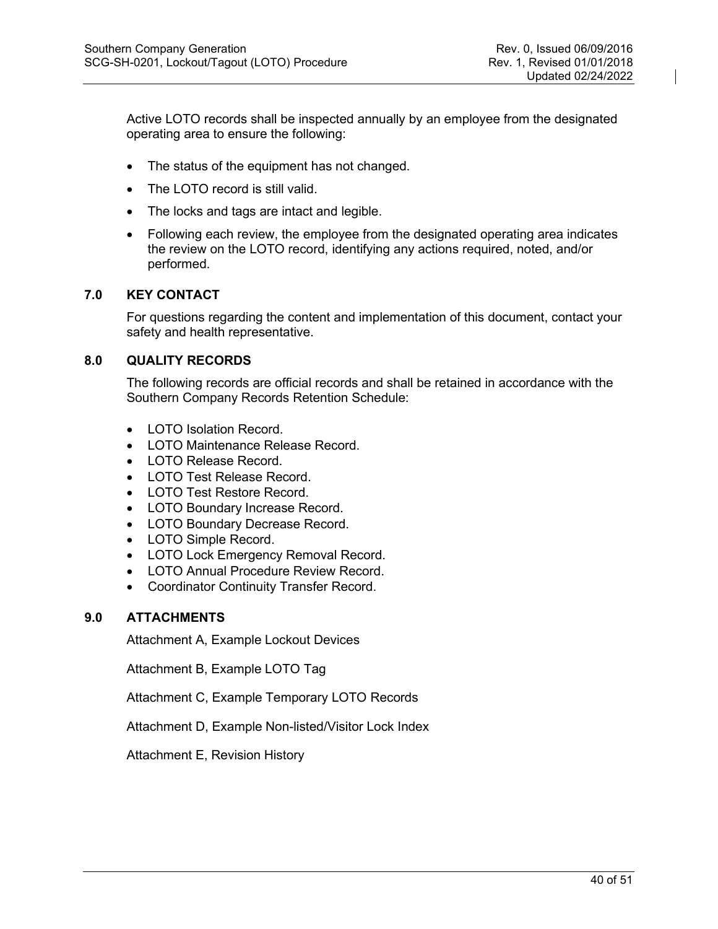Active LOTO records shall be inspected annually by an employee from the designated operating area to ensure the following:

- The status of the equipment has not changed.
- The LOTO record is still valid.
- The locks and tags are intact and legible.
- Following each review, the employee from the designated operating area indicates the review on the LOTO record, identifying any actions required, noted, and/or performed.

#### <span id="page-39-0"></span>**7.0 KEY CONTACT**

For questions regarding the content and implementation of this document, contact your safety and health representative.

#### <span id="page-39-1"></span>**8.0 QUALITY RECORDS**

The following records are official records and shall be retained in accordance with the Southern Company Records Retention Schedule:

- LOTO Isolation Record.
- LOTO Maintenance Release Record.
- LOTO Release Record
- LOTO Test Release Record.
- LOTO Test Restore Record.
- LOTO Boundary Increase Record.
- LOTO Boundary Decrease Record.
- LOTO Simple Record.
- LOTO Lock Emergency Removal Record.
- LOTO Annual Procedure Review Record.
- Coordinator Continuity Transfer Record.

#### <span id="page-39-2"></span>**9.0 ATTACHMENTS**

Attachment A, Example Lockout Devices

Attachment B, Example LOTO Tag

Attachment C, Example Temporary LOTO Records

Attachment D, Example Non-listed/Visitor Lock Index

Attachment E, Revision History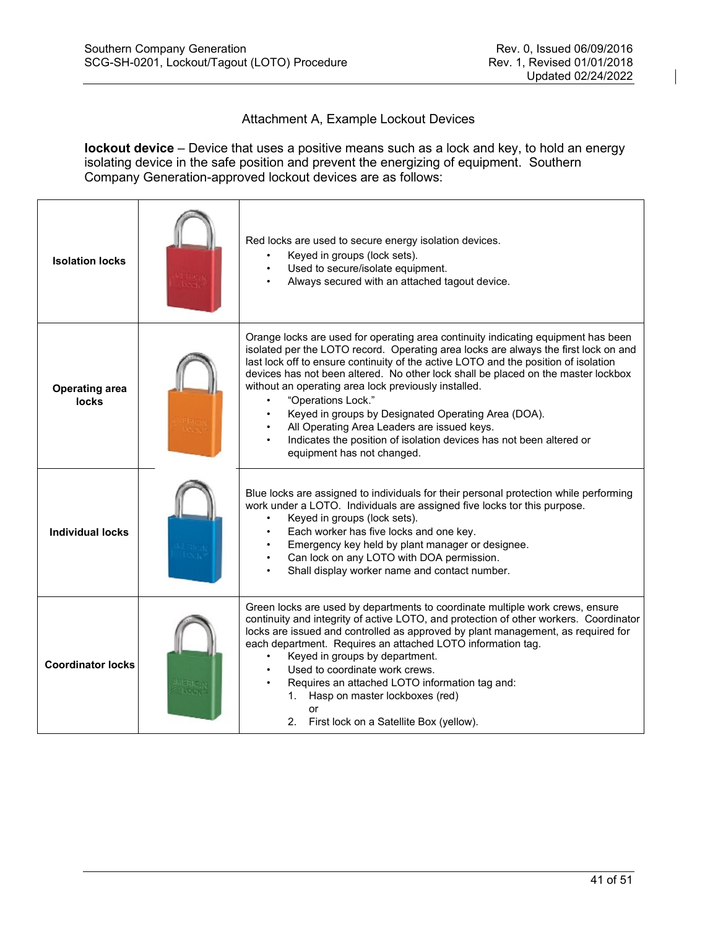# Attachment A, Example Lockout Devices

**lockout device** – Device that uses a positive means such as a lock and key, to hold an energy isolating device in the safe position and prevent the energizing of equipment. Southern Company Generation-approved lockout devices are as follows:

| <b>Isolation locks</b>         | Red locks are used to secure energy isolation devices.<br>Keyed in groups (lock sets).<br>Used to secure/isolate equipment.<br>Always secured with an attached tagout device.                                                                                                                                                                                                                                                                                                                                                                                                                                                                 |
|--------------------------------|-----------------------------------------------------------------------------------------------------------------------------------------------------------------------------------------------------------------------------------------------------------------------------------------------------------------------------------------------------------------------------------------------------------------------------------------------------------------------------------------------------------------------------------------------------------------------------------------------------------------------------------------------|
| <b>Operating area</b><br>locks | Orange locks are used for operating area continuity indicating equipment has been<br>isolated per the LOTO record. Operating area locks are always the first lock on and<br>last lock off to ensure continuity of the active LOTO and the position of isolation<br>devices has not been altered. No other lock shall be placed on the master lockbox<br>without an operating area lock previously installed.<br>"Operations Lock."<br>Keyed in groups by Designated Operating Area (DOA).<br>All Operating Area Leaders are issued keys.<br>Indicates the position of isolation devices has not been altered or<br>equipment has not changed. |
| <b>Individual locks</b>        | Blue locks are assigned to individuals for their personal protection while performing<br>work under a LOTO. Individuals are assigned five locks tor this purpose.<br>Keyed in groups (lock sets).<br>Each worker has five locks and one key.<br>Emergency key held by plant manager or designee.<br>Can lock on any LOTO with DOA permission.<br>Shall display worker name and contact number.                                                                                                                                                                                                                                                |
| <b>Coordinator locks</b>       | Green locks are used by departments to coordinate multiple work crews, ensure<br>continuity and integrity of active LOTO, and protection of other workers. Coordinator<br>locks are issued and controlled as approved by plant management, as required for<br>each department. Requires an attached LOTO information tag.<br>Keyed in groups by department.<br>Used to coordinate work crews.<br>Requires an attached LOTO information tag and:<br>Hasp on master lockboxes (red)<br>1.<br>or<br>2. First lock on a Satellite Box (yellow).                                                                                                   |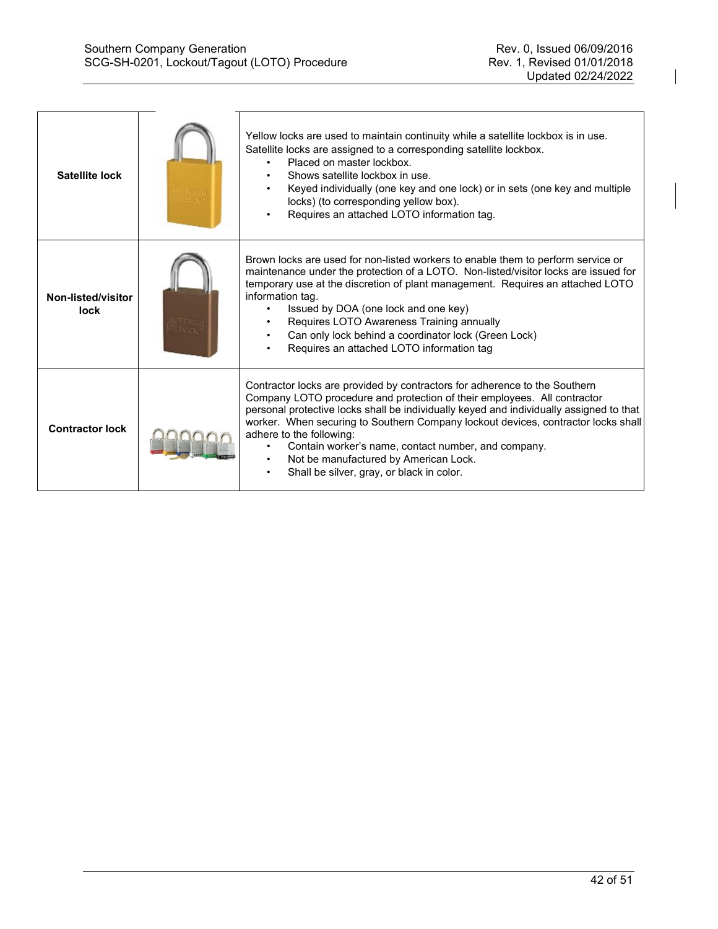| Satellite lock                    | Yellow locks are used to maintain continuity while a satellite lockbox is in use.<br>Satellite locks are assigned to a corresponding satellite lockbox.<br>Placed on master lockbox.<br>Shows satellite lockbox in use.<br>Keyed individually (one key and one lock) or in sets (one key and multiple<br>locks) (to corresponding yellow box).<br>Requires an attached LOTO information tag.                                                                                                                    |
|-----------------------------------|-----------------------------------------------------------------------------------------------------------------------------------------------------------------------------------------------------------------------------------------------------------------------------------------------------------------------------------------------------------------------------------------------------------------------------------------------------------------------------------------------------------------|
| Non-listed/visitor<br><b>lock</b> | Brown locks are used for non-listed workers to enable them to perform service or<br>maintenance under the protection of a LOTO. Non-listed/visitor locks are issued for<br>temporary use at the discretion of plant management. Requires an attached LOTO<br>information tag.<br>Issued by DOA (one lock and one key)<br>Requires LOTO Awareness Training annually<br>Can only lock behind a coordinator lock (Green Lock)<br>Requires an attached LOTO information tag                                         |
| <b>Contractor lock</b>            | Contractor locks are provided by contractors for adherence to the Southern<br>Company LOTO procedure and protection of their employees. All contractor<br>personal protective locks shall be individually keyed and individually assigned to that<br>worker. When securing to Southern Company lockout devices, contractor locks shall<br>adhere to the following:<br>Contain worker's name, contact number, and company.<br>Not be manufactured by American Lock.<br>Shall be silver, gray, or black in color. |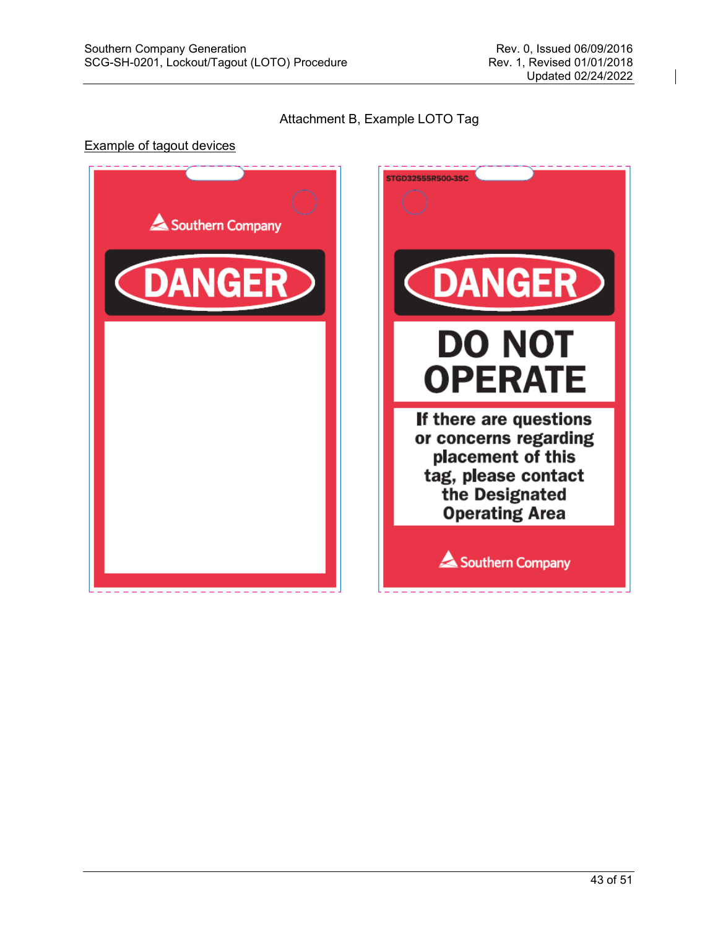# Attachment B, Example LOTO Tag

#### Example of tagout devices



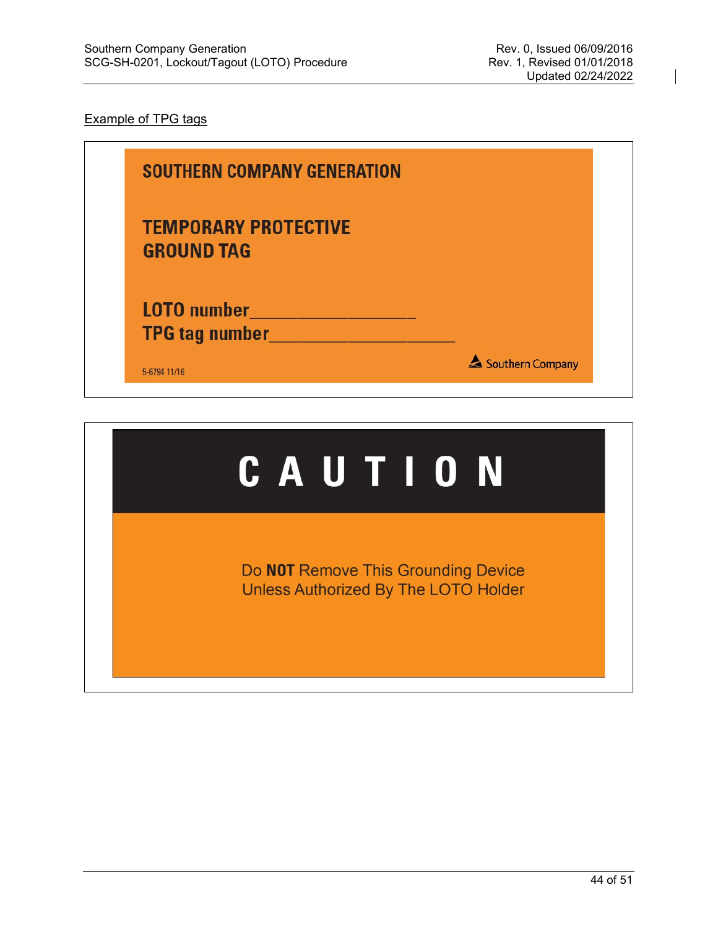# Example of TPG tags

| <b>SOUTHERN COMPANY GENERATION</b>               |                  |
|--------------------------------------------------|------------------|
| <b>TEMPORARY PROTECTIVE</b><br><b>GROUND TAG</b> |                  |
| <b>LOTO</b> number<br>TPG tag number______       |                  |
| 5-6794 11/16                                     | Southern Company |

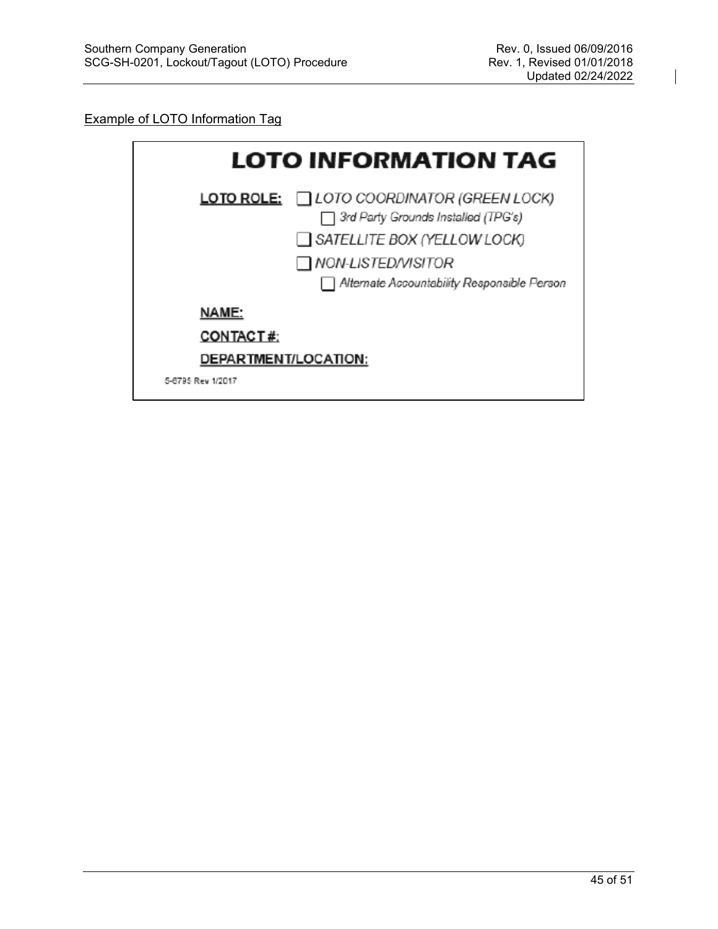#### Example of LOTO Information Tag

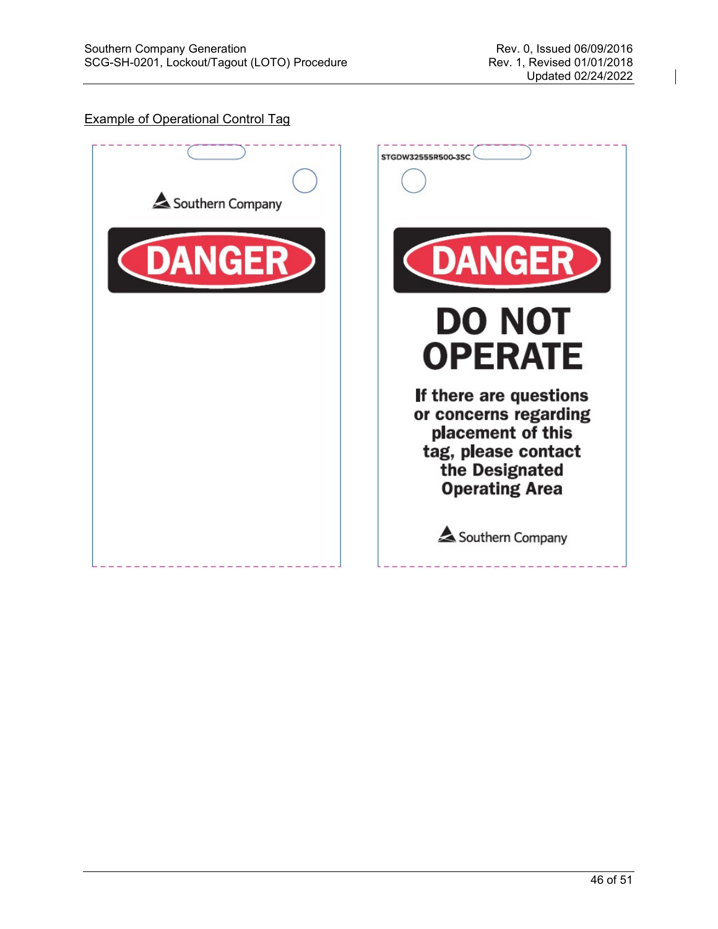# Example of Operational Control Tag



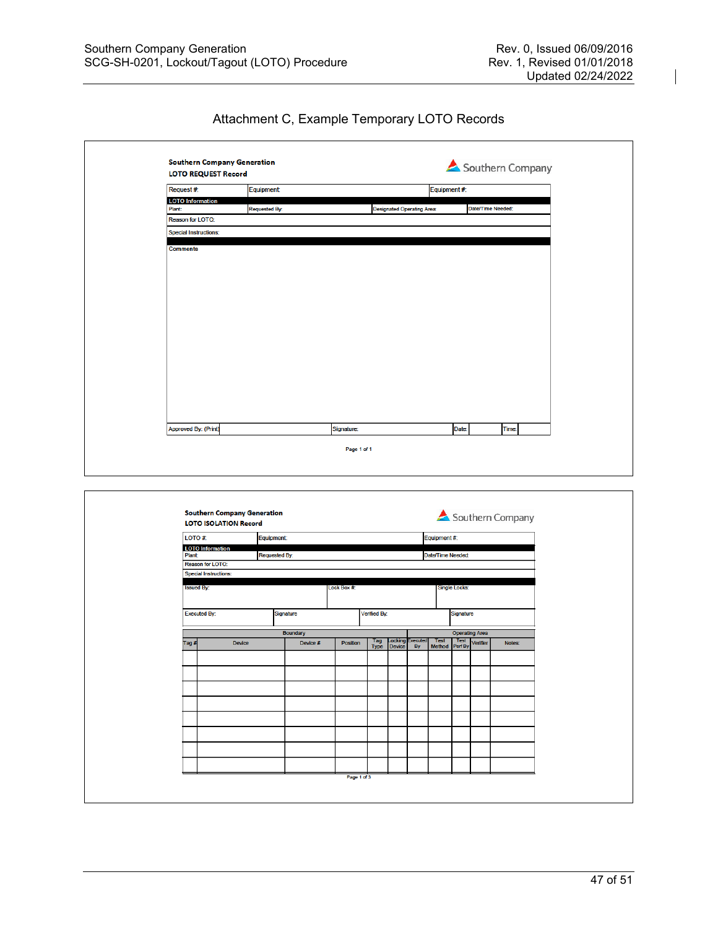$\mathsf{r}$ 

 $\overline{\phantom{a}}$ 

Attachment C, Example Temporary LOTO Records

| <b>Southern Company Generation</b><br><b>LOTO REQUEST Record</b> |                      |                                   |              | Southern Company  |  |
|------------------------------------------------------------------|----------------------|-----------------------------------|--------------|-------------------|--|
| Request #:                                                       | Equipment            |                                   | Equipment #: |                   |  |
| <b>LOTO</b> Information                                          |                      |                                   |              |                   |  |
| Plant:                                                           | <b>Requested By:</b> | <b>Designated Operating Area:</b> |              | Date/Time Needed: |  |
| <b>Reason for LOTO:</b>                                          |                      |                                   |              |                   |  |
| Special Instructions:                                            |                      |                                   |              |                   |  |
| <b>Comments</b>                                                  |                      |                                   |              |                   |  |
|                                                                  |                      |                                   |              |                   |  |
|                                                                  |                      |                                   |              |                   |  |
|                                                                  |                      |                                   |              |                   |  |
|                                                                  |                      |                                   |              |                   |  |
|                                                                  |                      |                                   |              |                   |  |
|                                                                  |                      |                                   |              |                   |  |
|                                                                  |                      |                                   |              |                   |  |
|                                                                  |                      |                                   |              |                   |  |
|                                                                  |                      |                                   |              |                   |  |
|                                                                  |                      |                                   |              |                   |  |
|                                                                  |                      |                                   |              |                   |  |
|                                                                  |                      |                                   |              |                   |  |
|                                                                  |                      |                                   |              |                   |  |
|                                                                  |                      |                                   |              |                   |  |
|                                                                  |                      |                                   |              |                   |  |
|                                                                  |                      |                                   |              |                   |  |
| Approved By: (Print)                                             | Signature:           |                                   | Date:        | Time:             |  |
|                                                                  |                      | Page 1 of 1                       |              |                   |  |
|                                                                  |                      |                                   |              |                   |  |

| LOTO#:                            | Equipment: |                      |            |                    |                          |                       | Equipment #:                  |                       |          |        |
|-----------------------------------|------------|----------------------|------------|--------------------|--------------------------|-----------------------|-------------------------------|-----------------------|----------|--------|
| <b>LOTO</b> Information           |            |                      |            |                    |                          |                       |                               |                       |          |        |
| <b>Plant:</b><br>Reason for LOTO: |            | <b>Requested By:</b> |            |                    |                          |                       | Date/Time Needed              |                       |          |        |
| <b>Special Instructions:</b>      |            |                      |            |                    |                          |                       |                               |                       |          |        |
| <b>Issued By:</b>                 |            |                      | Lock Box # |                    |                          |                       |                               | <b>Single Locks:</b>  |          |        |
| <b>Executed By:</b>               |            | Signature            |            | Verified By:       |                          |                       |                               | Signature             |          |        |
|                                   |            | Boundary             |            |                    |                          |                       |                               | <b>Operating Area</b> |          |        |
| Tag#                              | Device     | Device #             | Position   | Tag<br><b>Type</b> | Locking<br><b>Device</b> | Executed<br><b>By</b> | <b>Test</b><br>Method Perf By | Test                  | Verifier | Notes: |
|                                   |            |                      |            |                    |                          |                       |                               |                       |          |        |
|                                   |            |                      |            |                    |                          |                       |                               |                       |          |        |
|                                   |            |                      |            |                    |                          |                       |                               |                       |          |        |
|                                   |            |                      |            |                    |                          |                       |                               |                       |          |        |
|                                   |            |                      |            |                    |                          |                       |                               |                       |          |        |
|                                   |            |                      |            |                    |                          |                       |                               |                       |          |        |
|                                   |            |                      |            |                    |                          |                       |                               |                       |          |        |
|                                   |            |                      |            |                    |                          |                       |                               |                       |          |        |
|                                   |            |                      |            |                    |                          |                       |                               |                       |          |        |
|                                   |            |                      |            |                    |                          |                       |                               |                       |          |        |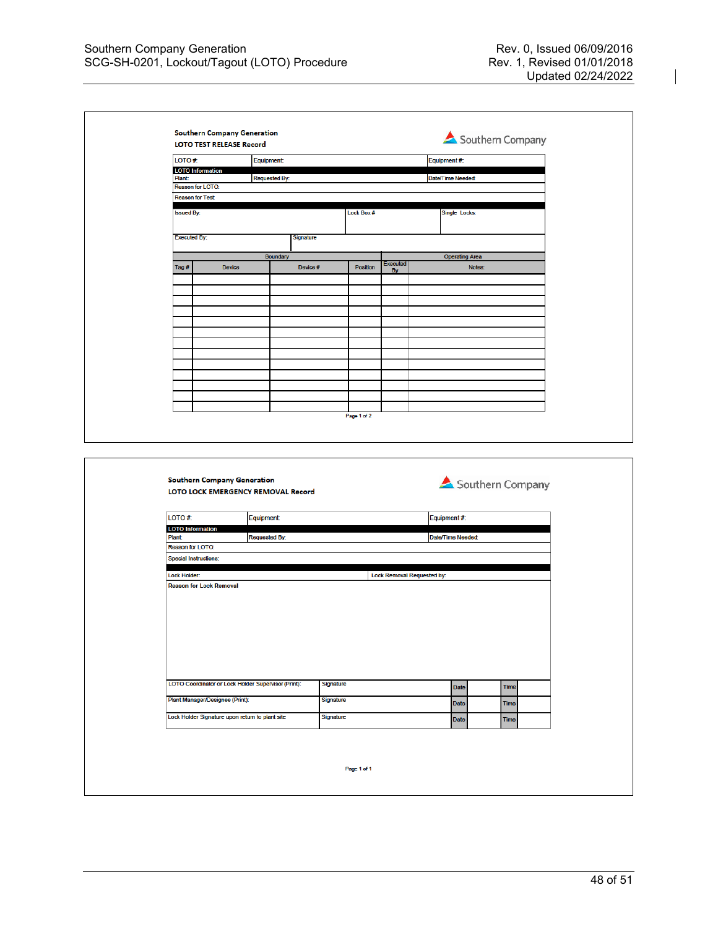| <b>LOTO TEST RELEASE Record</b><br>LOTO#:                                                                                                        |                                                     | <b>Equipment:</b>    |           |                 |                            | Equipment#:             |                  |             |  |
|--------------------------------------------------------------------------------------------------------------------------------------------------|-----------------------------------------------------|----------------------|-----------|-----------------|----------------------------|-------------------------|------------------|-------------|--|
| <b>LOTO</b> Information<br>Plant:                                                                                                                |                                                     | <b>Requested By:</b> |           |                 |                            | <b>Date/Time Needed</b> |                  |             |  |
| Reason for LOTO:                                                                                                                                 |                                                     |                      |           |                 |                            |                         |                  |             |  |
| <b>Reason for Test</b>                                                                                                                           |                                                     |                      |           |                 |                            |                         |                  |             |  |
| <b>Issued By:</b>                                                                                                                                |                                                     |                      |           | Lock Box #      |                            | Single Locks:           |                  |             |  |
| <b>Executed By:</b>                                                                                                                              |                                                     |                      | Signature |                 |                            |                         |                  |             |  |
|                                                                                                                                                  |                                                     |                      |           |                 |                            |                         |                  |             |  |
|                                                                                                                                                  |                                                     | Boundary             |           |                 | <b>Executed</b>            | <b>Operating Area</b>   |                  |             |  |
| Tag#                                                                                                                                             | <b>Device</b>                                       |                      | Device #  | <b>Position</b> | <b>By</b>                  |                         | Notes:           |             |  |
|                                                                                                                                                  |                                                     |                      |           |                 |                            |                         |                  |             |  |
|                                                                                                                                                  |                                                     |                      |           |                 |                            |                         |                  |             |  |
|                                                                                                                                                  |                                                     |                      |           |                 |                            |                         |                  |             |  |
|                                                                                                                                                  |                                                     |                      |           |                 |                            |                         |                  |             |  |
|                                                                                                                                                  |                                                     |                      |           |                 |                            |                         |                  |             |  |
|                                                                                                                                                  |                                                     |                      |           |                 |                            |                         |                  |             |  |
|                                                                                                                                                  |                                                     |                      |           |                 |                            |                         |                  |             |  |
|                                                                                                                                                  |                                                     |                      |           |                 |                            |                         |                  |             |  |
|                                                                                                                                                  |                                                     |                      |           |                 |                            |                         |                  |             |  |
|                                                                                                                                                  |                                                     |                      |           |                 |                            |                         |                  |             |  |
|                                                                                                                                                  | <b>Southern Company Generation</b>                  |                      |           | Page 1 of 2     |                            |                         |                  |             |  |
|                                                                                                                                                  | LOTO LOCK EMERGENCY REMOVAL Record                  |                      |           |                 |                            |                         | Southern Company |             |  |
|                                                                                                                                                  |                                                     | <b>Equipment:</b>    |           |                 |                            | Equipment#:             |                  |             |  |
|                                                                                                                                                  |                                                     |                      |           |                 |                            | Date/Time Needed:       |                  |             |  |
|                                                                                                                                                  |                                                     | <b>Requested By:</b> |           |                 |                            |                         |                  |             |  |
|                                                                                                                                                  |                                                     |                      |           |                 |                            |                         |                  |             |  |
|                                                                                                                                                  |                                                     |                      |           |                 | Lock Removal Requested by: |                         |                  |             |  |
| LOTO#:<br><b>LOTO</b> Information<br>Plant<br>Reason for LOTO:<br><b>Special Instructions:</b><br>Lock Holder:<br><b>Reason for Lock Removal</b> |                                                     |                      |           |                 |                            |                         |                  |             |  |
|                                                                                                                                                  | LOTO Coordinator or Lock Holder Supervisor (Print): |                      |           | Signature       |                            | Date                    |                  | Time        |  |
|                                                                                                                                                  | Plant Manager/Designee (Print):                     |                      |           | Signature       |                            | Date                    |                  | Time        |  |
|                                                                                                                                                  | Lock Holder Signature upon return to plant site     |                      |           | Signature       |                            | Date                    |                  | <b>Time</b> |  |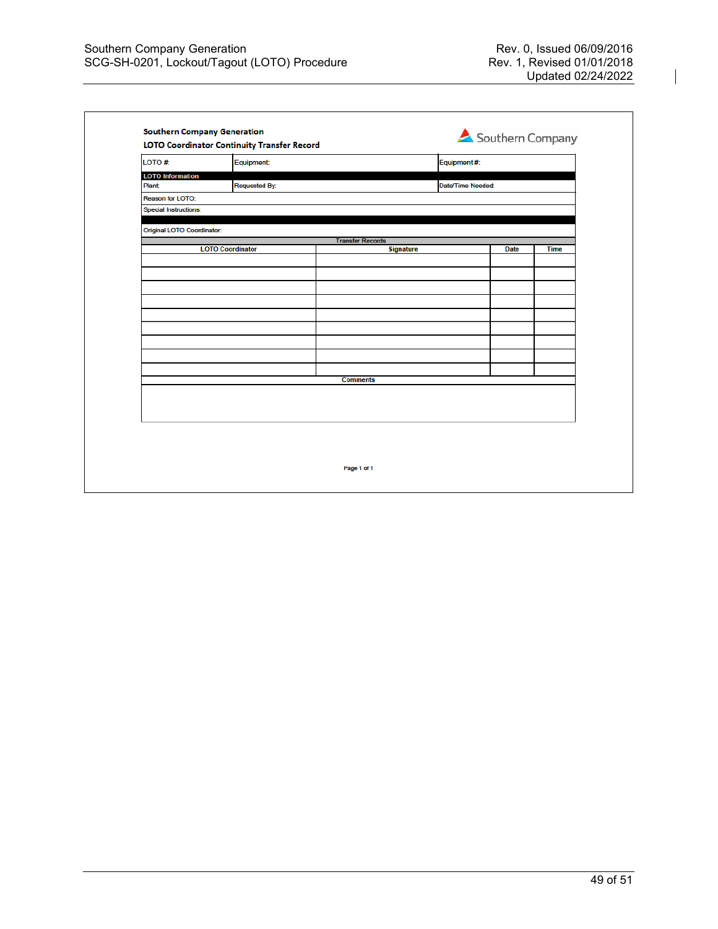| LOTO #                       | Equipment:              |                         | Equipment #:     |             |
|------------------------------|-------------------------|-------------------------|------------------|-------------|
| <b>LOTO</b> Information      |                         |                         |                  |             |
| <b>Plant:</b>                | <b>Requested By:</b>    |                         | Date/Time Needed |             |
| Reason for LOTO:             |                         |                         |                  |             |
| <b>Special Instructions:</b> |                         |                         |                  |             |
| Original LOTO Coordinator:   |                         |                         |                  |             |
|                              |                         | <b>Transfer Records</b> |                  |             |
|                              | <b>LOTO Coordinator</b> | <b>Signature</b>        | <b>Date</b>      | <b>Time</b> |
|                              |                         |                         |                  |             |
|                              |                         |                         |                  |             |
|                              |                         |                         |                  |             |
|                              |                         |                         |                  |             |
|                              |                         |                         |                  |             |
|                              |                         |                         |                  |             |
|                              |                         |                         |                  |             |
|                              |                         |                         |                  |             |
|                              |                         |                         |                  |             |
|                              |                         | <b>Comments</b>         |                  |             |
|                              |                         |                         |                  |             |
|                              |                         |                         |                  |             |
|                              |                         |                         |                  |             |
|                              |                         |                         |                  |             |
|                              |                         |                         |                  |             |
|                              |                         |                         |                  |             |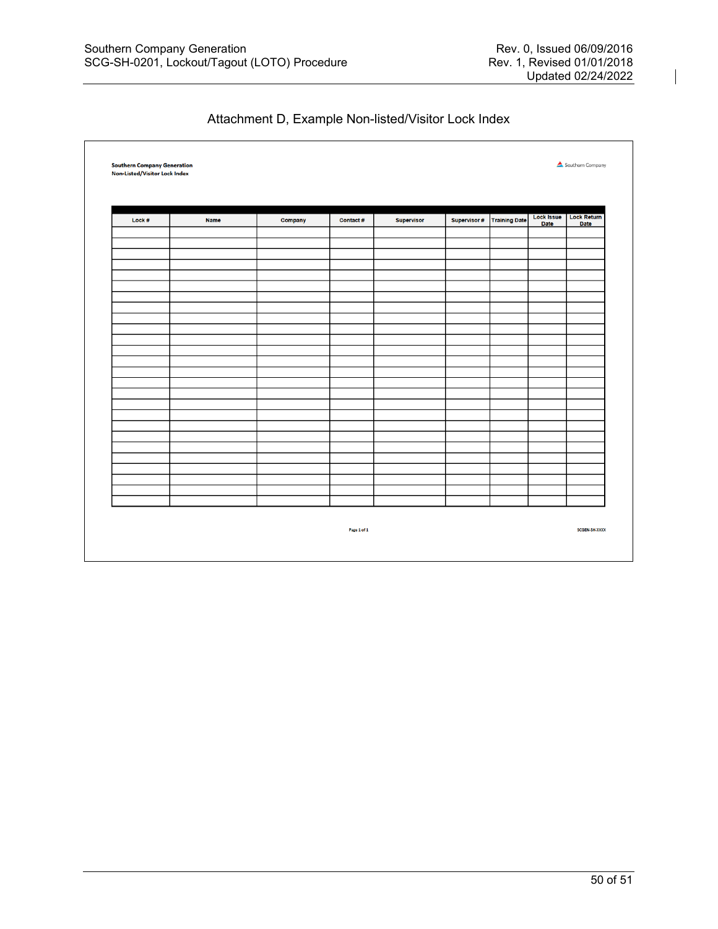| Lock # | <b>Name</b> | Company | <b>Contact#</b> | <b>Supervisor</b> | Supervisor # | <b>Training Date</b> | Lock Issue<br><b>Date</b> | <b>Lock Return</b><br><b>Date</b> |
|--------|-------------|---------|-----------------|-------------------|--------------|----------------------|---------------------------|-----------------------------------|
|        |             |         |                 |                   |              |                      |                           |                                   |
|        |             |         |                 |                   |              |                      |                           |                                   |
|        |             |         |                 |                   |              |                      |                           |                                   |
|        |             |         |                 |                   |              |                      |                           |                                   |
|        |             |         |                 |                   |              |                      |                           |                                   |
|        |             |         |                 |                   |              |                      |                           |                                   |
|        |             |         |                 |                   |              |                      |                           |                                   |
|        |             |         |                 |                   |              |                      |                           |                                   |
|        |             |         |                 |                   |              |                      |                           |                                   |
|        |             |         |                 |                   |              |                      |                           |                                   |
|        |             |         |                 |                   |              |                      |                           |                                   |
|        |             |         |                 |                   |              |                      |                           |                                   |
|        |             |         |                 |                   |              |                      |                           |                                   |
|        |             |         |                 |                   |              |                      |                           |                                   |
|        |             |         |                 |                   |              |                      |                           |                                   |
|        |             |         |                 |                   |              |                      |                           |                                   |
|        |             |         |                 |                   |              |                      |                           |                                   |
|        |             |         |                 |                   |              |                      |                           |                                   |
|        |             |         |                 |                   |              |                      |                           |                                   |
|        |             |         |                 |                   |              |                      |                           |                                   |
|        |             |         |                 |                   |              |                      |                           |                                   |
|        |             |         |                 |                   |              |                      |                           |                                   |

# Attachment D, Example Non-listed/Visitor Lock Index